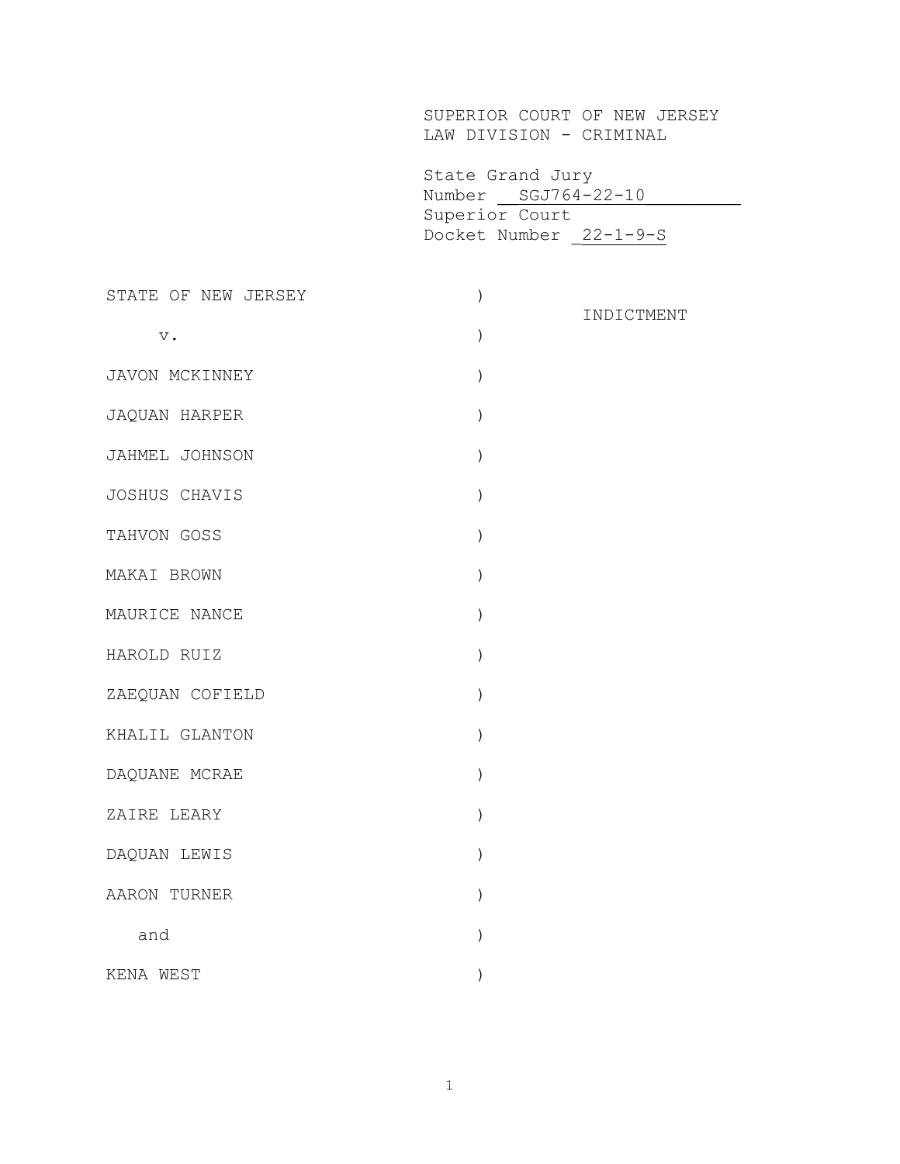SUPERIOR COURT OF NEW JERSEY LAW DIVISION - CRIMINAL

 State Grand Jury Number \_\_ SGJ764-22-10 Superior Court Docket Number \_22-1-9-S

| STATE OF NEW JERSEY | $\mathcal{E}$ |            |
|---------------------|---------------|------------|
| $\mathbf v$ .       | $\mathcal{E}$ | INDICTMENT |
| JAVON MCKINNEY      | )             |            |
| JAQUAN HARPER       | $\lambda$     |            |
| JAHMEL JOHNSON      | $\lambda$     |            |
| JOSHUS CHAVIS       | $\mathcal{E}$ |            |
| TAHVON GOSS         | $\mathcal{E}$ |            |
| MAKAI BROWN         | $\mathcal{E}$ |            |
| MAURICE NANCE       | $\mathcal{E}$ |            |
| HAROLD RUIZ         | $\mathcal{C}$ |            |
| ZAEQUAN COFIELD     | $\mathcal{E}$ |            |
| KHALIL GLANTON      | $\mathcal{E}$ |            |
| DAQUANE MCRAE       | ⟩             |            |
| ZAIRE LEARY         | $\mathcal{E}$ |            |
| DAQUAN LEWIS        | $\mathcal{E}$ |            |
| AARON TURNER        | $\mathcal{E}$ |            |
| and                 |               |            |
| KENA WEST           |               |            |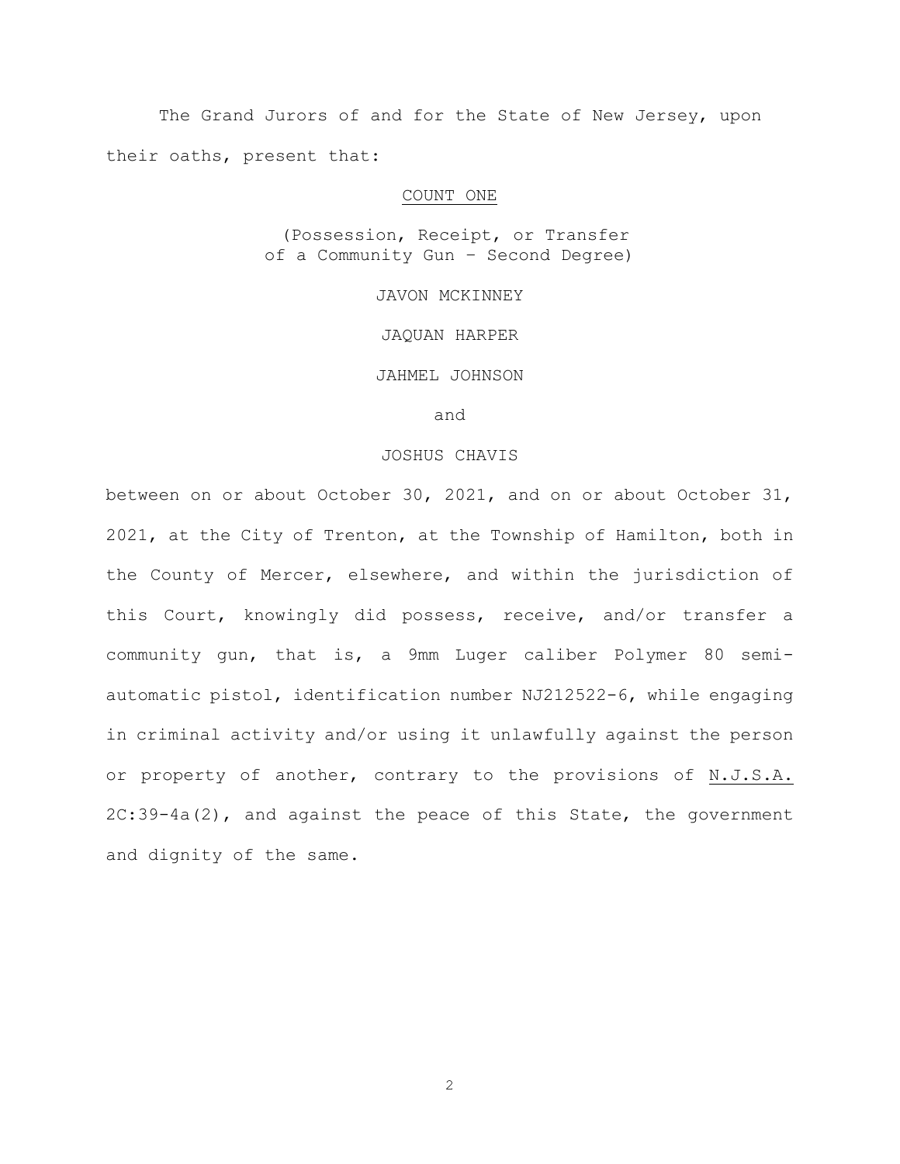The Grand Jurors of and for the State of New Jersey, upon their oaths, present that:

### COUNT ONE

(Possession, Receipt, or Transfer of a Community Gun – Second Degree)

JAVON MCKINNEY

JAQUAN HARPER

JAHMEL JOHNSON

and

# JOSHUS CHAVIS

between on or about October 30, 2021, and on or about October 31, 2021, at the City of Trenton, at the Township of Hamilton, both in the County of Mercer, elsewhere, and within the jurisdiction of this Court, knowingly did possess, receive, and/or transfer a community gun, that is, a 9mm Luger caliber Polymer 80 semiautomatic pistol, identification number NJ212522-6, while engaging in criminal activity and/or using it unlawfully against the person or property of another, contrary to the provisions of N.J.S.A. 2C:39-4a(2), and against the peace of this State, the government and dignity of the same.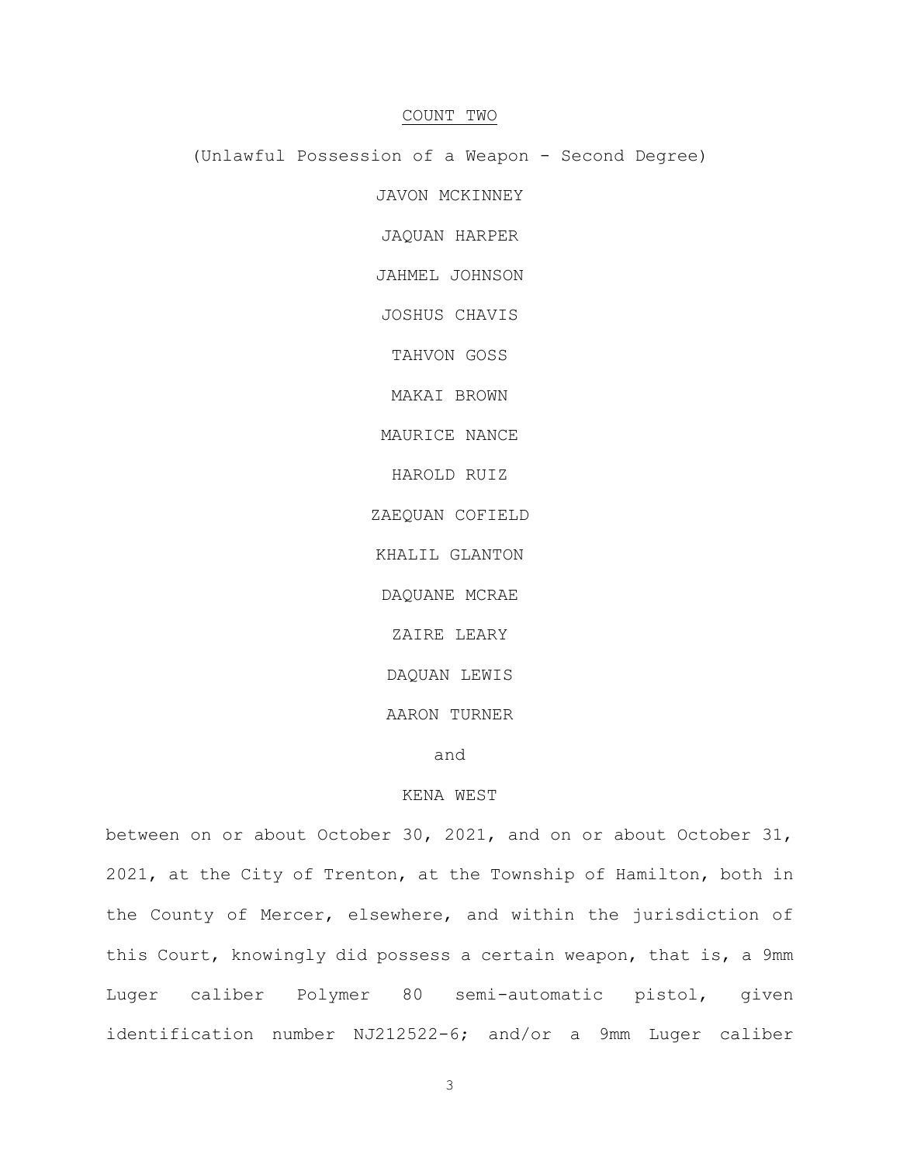# COUNT TWO

(Unlawful Possession of a Weapon - Second Degree)

JAVON MCKINNEY

JAQUAN HARPER

JAHMEL JOHNSON

JOSHUS CHAVIS

TAHVON GOSS

MAKAI BROWN

MAURICE NANCE

HAROLD RUIZ

ZAEQUAN COFIELD

KHALIL GLANTON

DAQUANE MCRAE

ZAIRE LEARY

DAQUAN LEWIS

AARON TURNER

and

# KENA WEST

between on or about October 30, 2021, and on or about October 31, 2021, at the City of Trenton, at the Township of Hamilton, both in the County of Mercer, elsewhere, and within the jurisdiction of this Court, knowingly did possess a certain weapon, that is, a 9mm Luger caliber Polymer 80 semi-automatic pistol, given identification number NJ212522-6; and/or a 9mm Luger caliber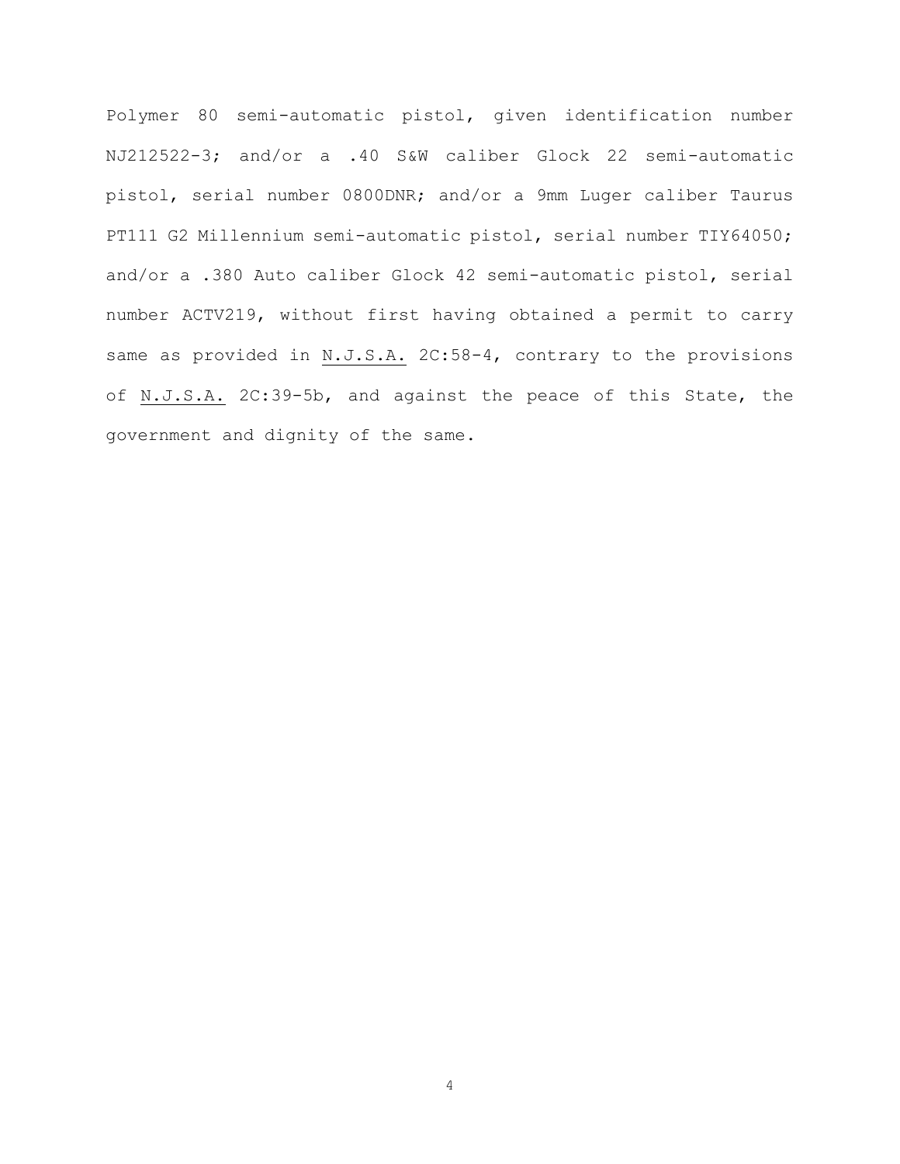Polymer 80 semi-automatic pistol, given identification number NJ212522-3; and/or a .40 S&W caliber Glock 22 semi-automatic pistol, serial number 0800DNR; and/or a 9mm Luger caliber Taurus PT111 G2 Millennium semi-automatic pistol, serial number TIY64050; and/or a .380 Auto caliber Glock 42 semi-automatic pistol, serial number ACTV219, without first having obtained a permit to carry same as provided in N.J.S.A. 2C:58-4, contrary to the provisions of N.J.S.A. 2C:39-5b, and against the peace of this State, the government and dignity of the same.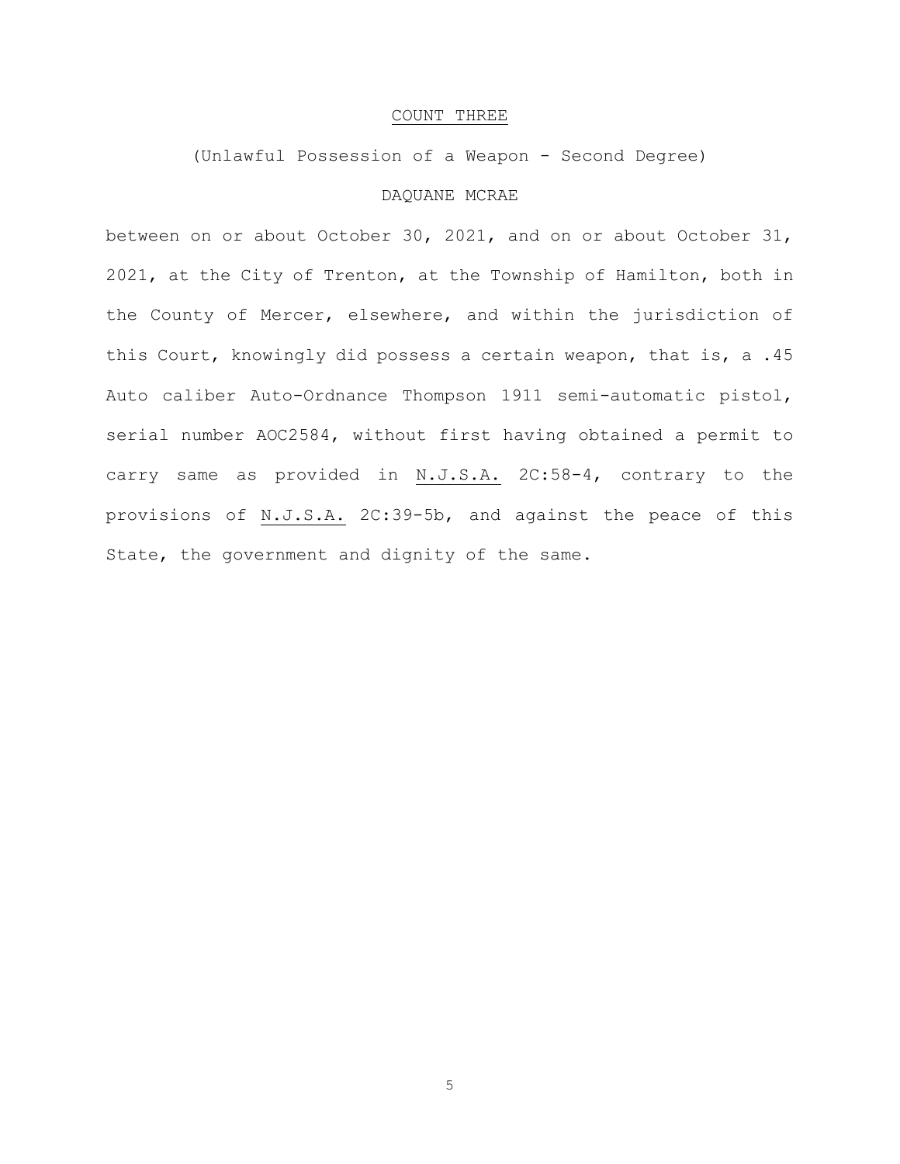## COUNT THREE

(Unlawful Possession of a Weapon - Second Degree)

# DAQUANE MCRAE

between on or about October 30, 2021, and on or about October 31, 2021, at the City of Trenton, at the Township of Hamilton, both in the County of Mercer, elsewhere, and within the jurisdiction of this Court, knowingly did possess a certain weapon, that is, a .45 Auto caliber Auto-Ordnance Thompson 1911 semi-automatic pistol, serial number AOC2584, without first having obtained a permit to carry same as provided in N.J.S.A. 2C:58-4, contrary to the provisions of N.J.S.A. 2C:39-5b, and against the peace of this State, the government and dignity of the same.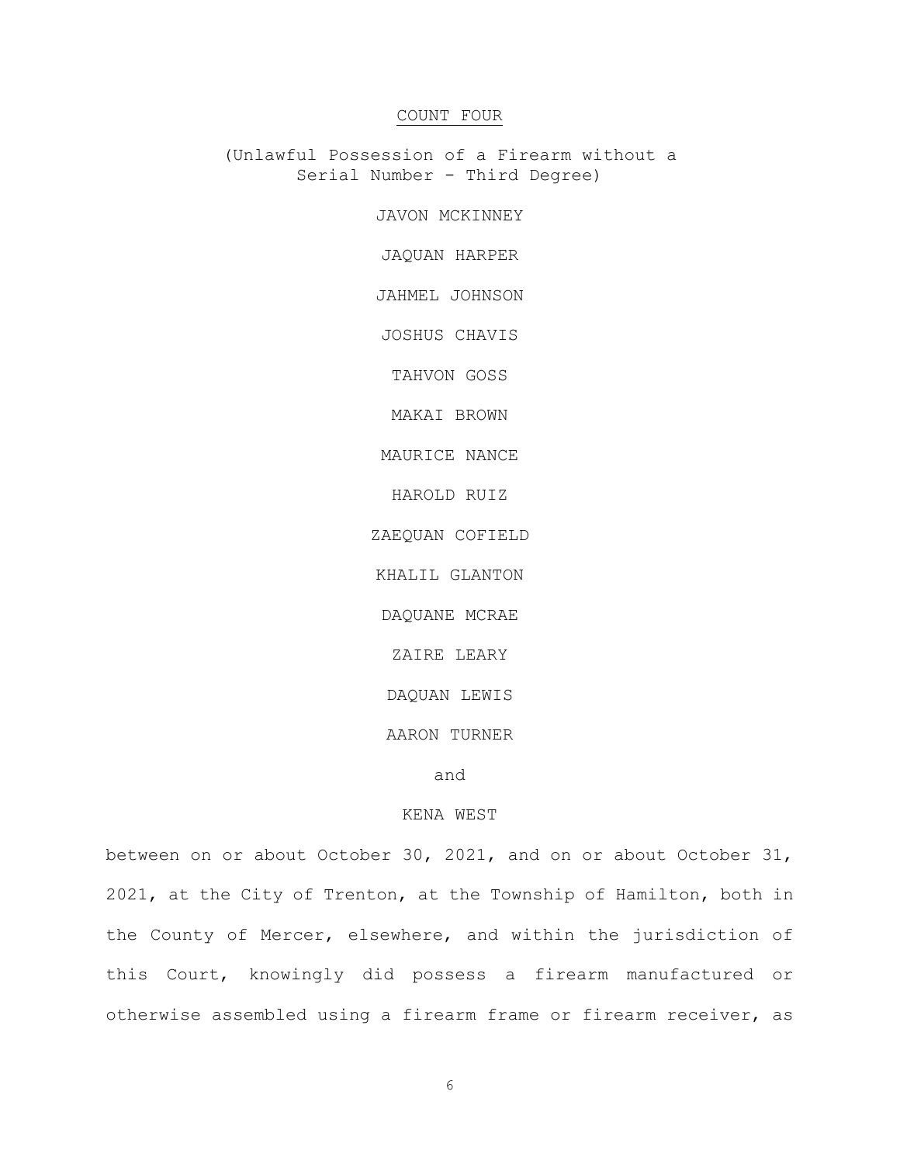# COUNT FOUR

(Unlawful Possession of a Firearm without a Serial Number - Third Degree)

JAVON MCKINNEY

JAQUAN HARPER

JAHMEL JOHNSON

JOSHUS CHAVIS

TAHVON GOSS

MAKAI BROWN

MAURICE NANCE

HAROLD RUIZ

ZAEQUAN COFIELD

KHALIL GLANTON

DAQUANE MCRAE

ZAIRE LEARY

DAQUAN LEWIS

AARON TURNER

and

### KENA WEST

between on or about October 30, 2021, and on or about October 31, 2021, at the City of Trenton, at the Township of Hamilton, both in the County of Mercer, elsewhere, and within the jurisdiction of this Court, knowingly did possess a firearm manufactured or otherwise assembled using a firearm frame or firearm receiver, as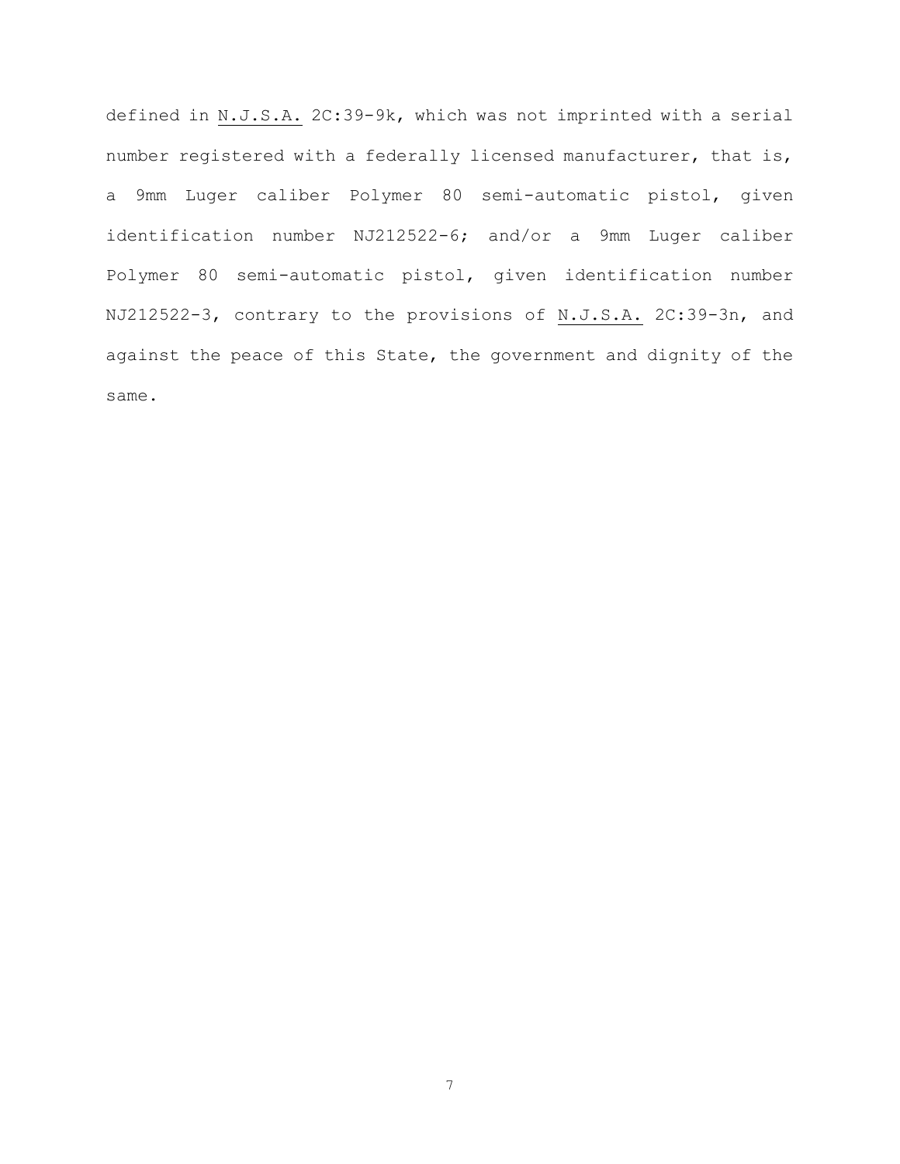defined in N.J.S.A. 2C:39-9k, which was not imprinted with a serial number registered with a federally licensed manufacturer, that is, a 9mm Luger caliber Polymer 80 semi-automatic pistol, given identification number NJ212522-6; and/or a 9mm Luger caliber Polymer 80 semi-automatic pistol, given identification number NJ212522-3, contrary to the provisions of N.J.S.A. 2C:39-3n, and against the peace of this State, the government and dignity of the same.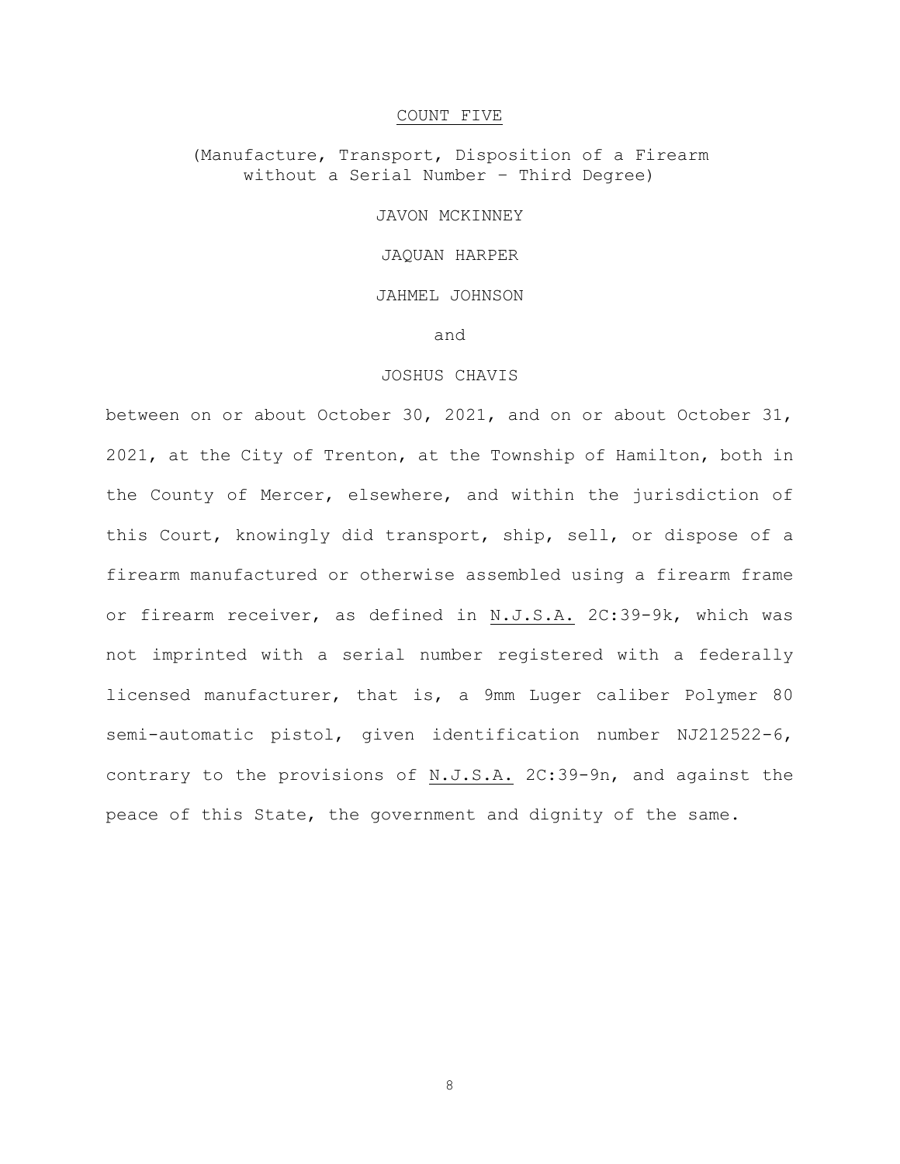### COUNT FIVE

# (Manufacture, Transport, Disposition of a Firearm without a Serial Number – Third Degree)

### JAVON MCKINNEY

### JAQUAN HARPER

# JAHMEL JOHNSON

### and

# JOSHUS CHAVIS

between on or about October 30, 2021, and on or about October 31, 2021, at the City of Trenton, at the Township of Hamilton, both in the County of Mercer, elsewhere, and within the jurisdiction of this Court, knowingly did transport, ship, sell, or dispose of a firearm manufactured or otherwise assembled using a firearm frame or firearm receiver, as defined in N.J.S.A. 2C:39-9k, which was not imprinted with a serial number registered with a federally licensed manufacturer, that is, a 9mm Luger caliber Polymer 80 semi-automatic pistol, given identification number NJ212522-6, contrary to the provisions of N.J.S.A. 2C:39-9n, and against the peace of this State, the government and dignity of the same.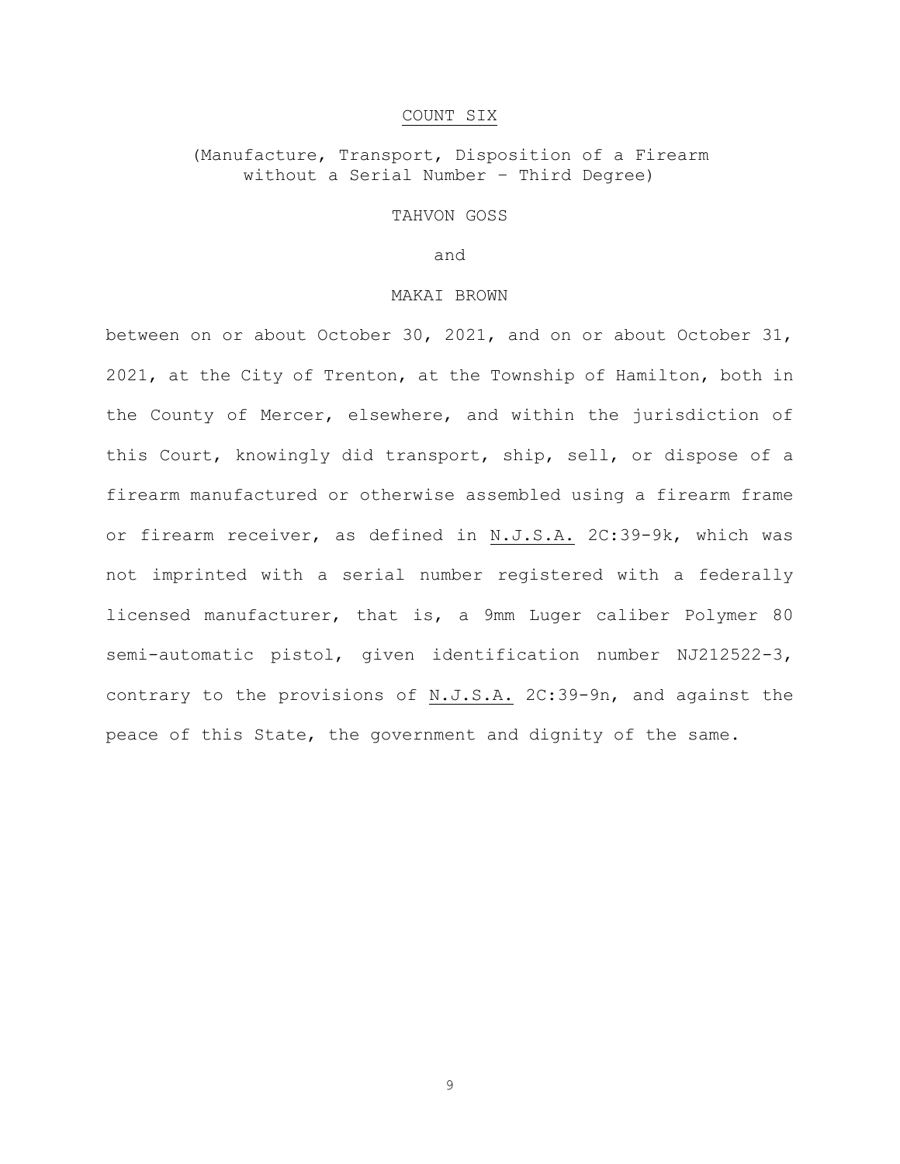### COUNT SIX

# (Manufacture, Transport, Disposition of a Firearm without a Serial Number – Third Degree)

### TAHVON GOSS

and

### MAKAI BROWN

between on or about October 30, 2021, and on or about October 31, 2021, at the City of Trenton, at the Township of Hamilton, both in the County of Mercer, elsewhere, and within the jurisdiction of this Court, knowingly did transport, ship, sell, or dispose of a firearm manufactured or otherwise assembled using a firearm frame or firearm receiver, as defined in N.J.S.A. 2C:39-9k, which was not imprinted with a serial number registered with a federally licensed manufacturer, that is, a 9mm Luger caliber Polymer 80 semi-automatic pistol, given identification number NJ212522-3, contrary to the provisions of N.J.S.A. 2C:39-9n, and against the peace of this State, the government and dignity of the same.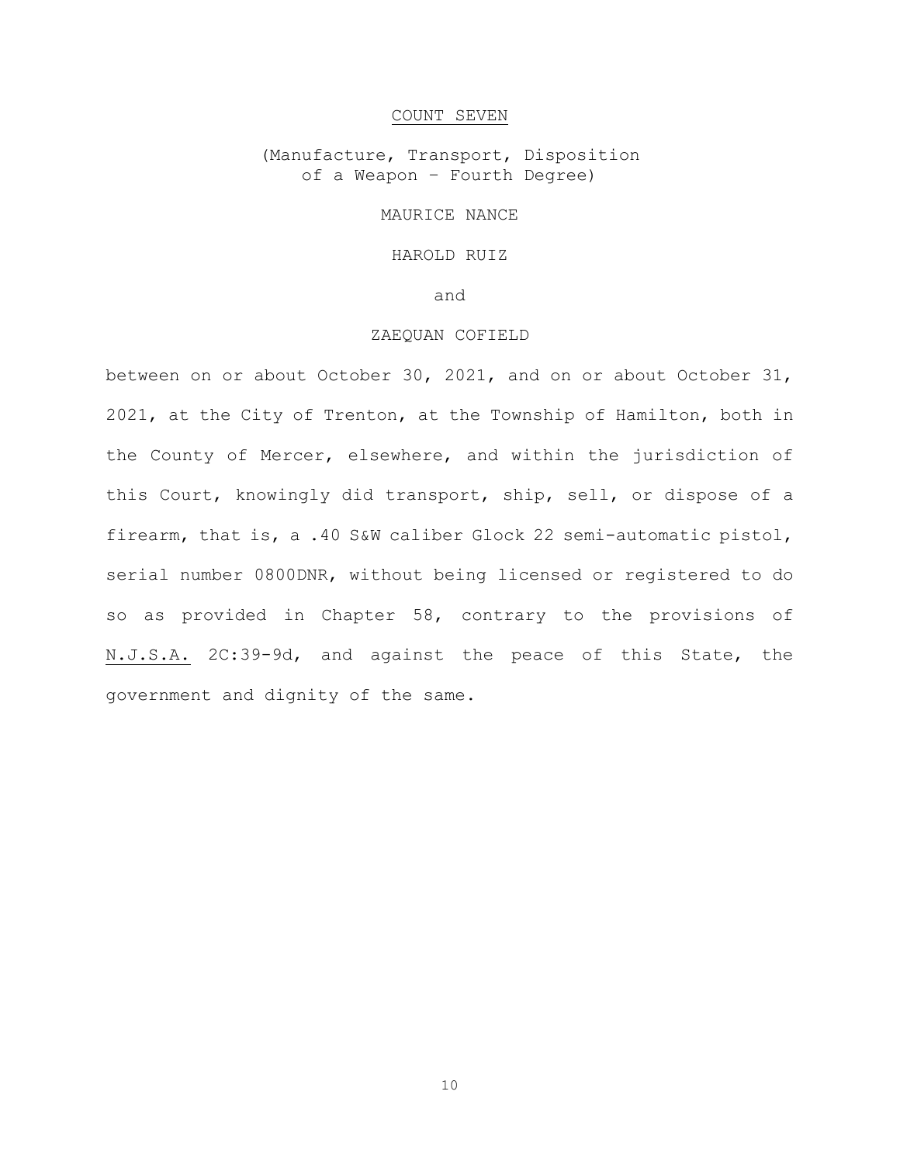### COUNT SEVEN

(Manufacture, Transport, Disposition of a Weapon – Fourth Degree)

# MAURICE NANCE

# HAROLD RUIZ

and

### ZAEQUAN COFIELD

between on or about October 30, 2021, and on or about October 31, 2021, at the City of Trenton, at the Township of Hamilton, both in the County of Mercer, elsewhere, and within the jurisdiction of this Court, knowingly did transport, ship, sell, or dispose of a firearm, that is, a .40 S&W caliber Glock 22 semi-automatic pistol, serial number 0800DNR, without being licensed or registered to do so as provided in Chapter 58, contrary to the provisions of N.J.S.A. 2C:39-9d, and against the peace of this State, the government and dignity of the same.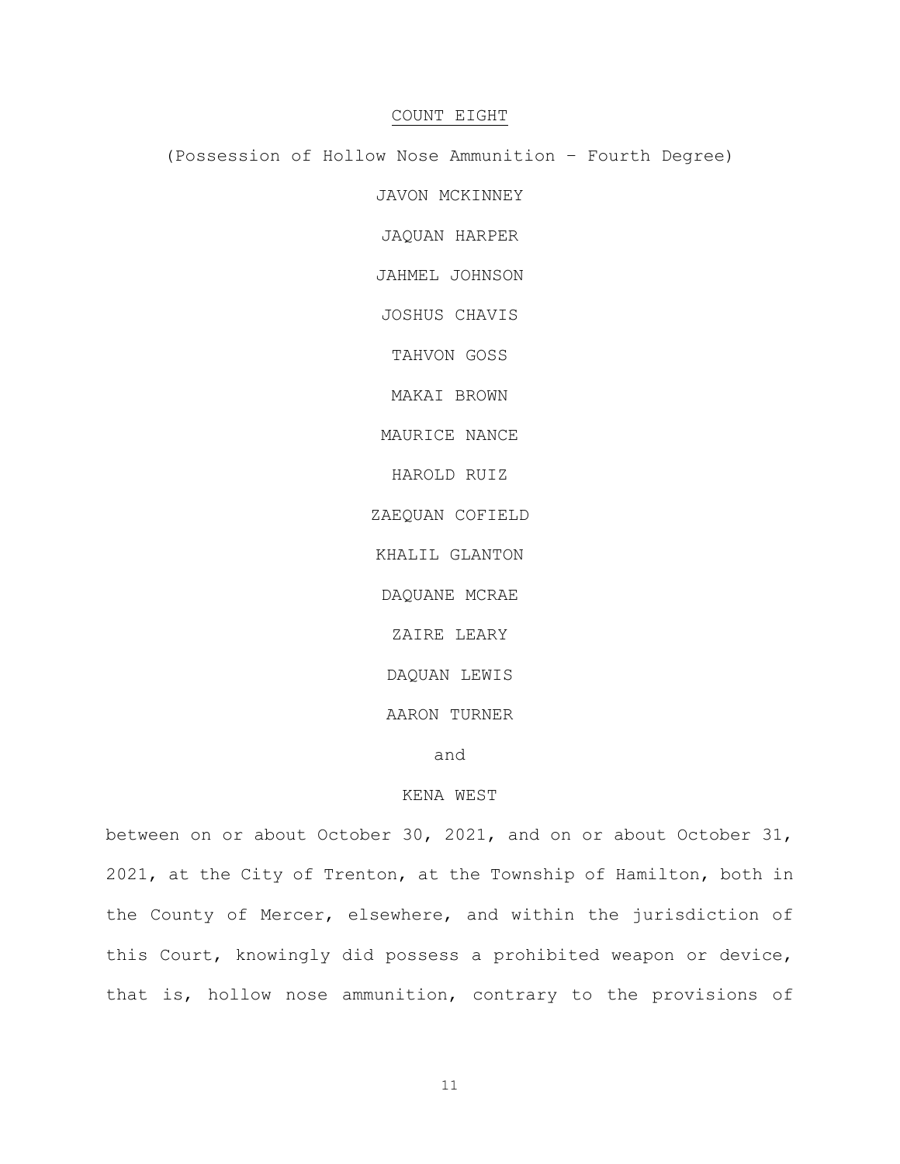### COUNT EIGHT

(Possession of Hollow Nose Ammunition – Fourth Degree)

JAVON MCKINNEY

JAQUAN HARPER

JAHMEL JOHNSON

JOSHUS CHAVIS

TAHVON GOSS

MAKAI BROWN

MAURICE NANCE

HAROLD RUIZ

ZAEQUAN COFIELD

KHALIL GLANTON

DAQUANE MCRAE

ZAIRE LEARY

DAQUAN LEWIS

AARON TURNER

and

# KENA WEST

between on or about October 30, 2021, and on or about October 31, 2021, at the City of Trenton, at the Township of Hamilton, both in the County of Mercer, elsewhere, and within the jurisdiction of this Court, knowingly did possess a prohibited weapon or device, that is, hollow nose ammunition, contrary to the provisions of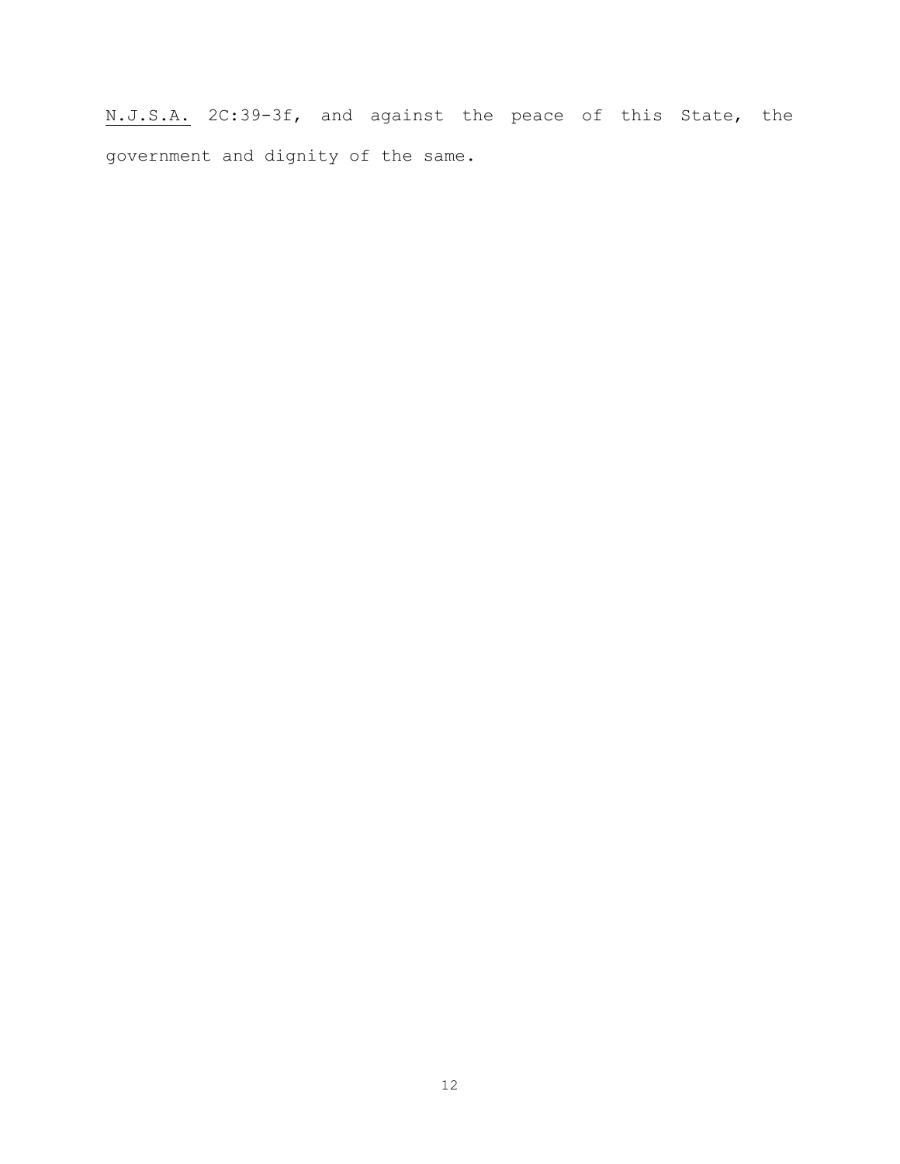N.J.S.A. 2C:39-3f, and against the peace of this State, the government and dignity of the same.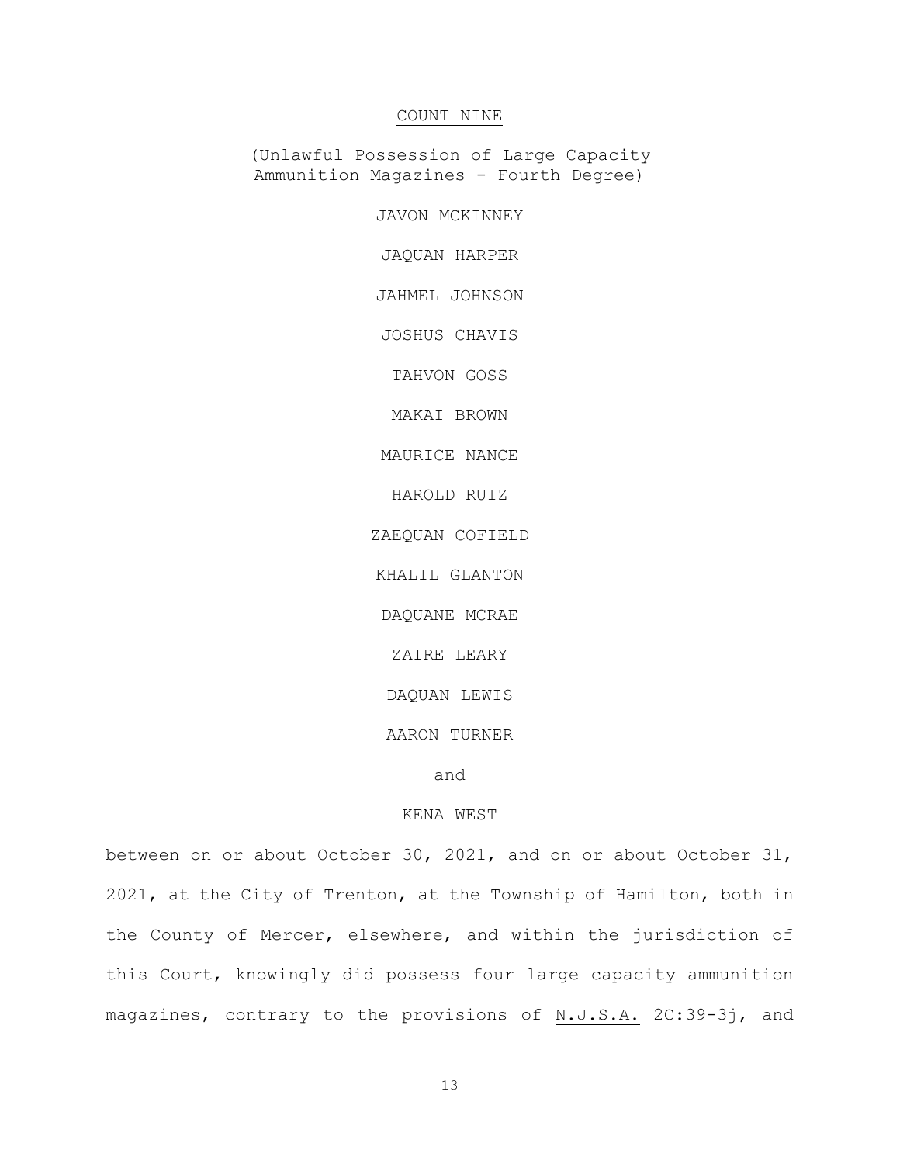# COUNT NINE

(Unlawful Possession of Large Capacity Ammunition Magazines - Fourth Degree)

JAVON MCKINNEY

JAQUAN HARPER

JAHMEL JOHNSON

JOSHUS CHAVIS

TAHVON GOSS

MAKAI BROWN

MAURICE NANCE

HAROLD RUIZ

ZAEQUAN COFIELD

KHALIL GLANTON

DAQUANE MCRAE

ZAIRE LEARY

DAQUAN LEWIS

AARON TURNER

and

### KENA WEST

between on or about October 30, 2021, and on or about October 31, 2021, at the City of Trenton, at the Township of Hamilton, both in the County of Mercer, elsewhere, and within the jurisdiction of this Court, knowingly did possess four large capacity ammunition magazines, contrary to the provisions of N.J.S.A. 2C:39-3j, and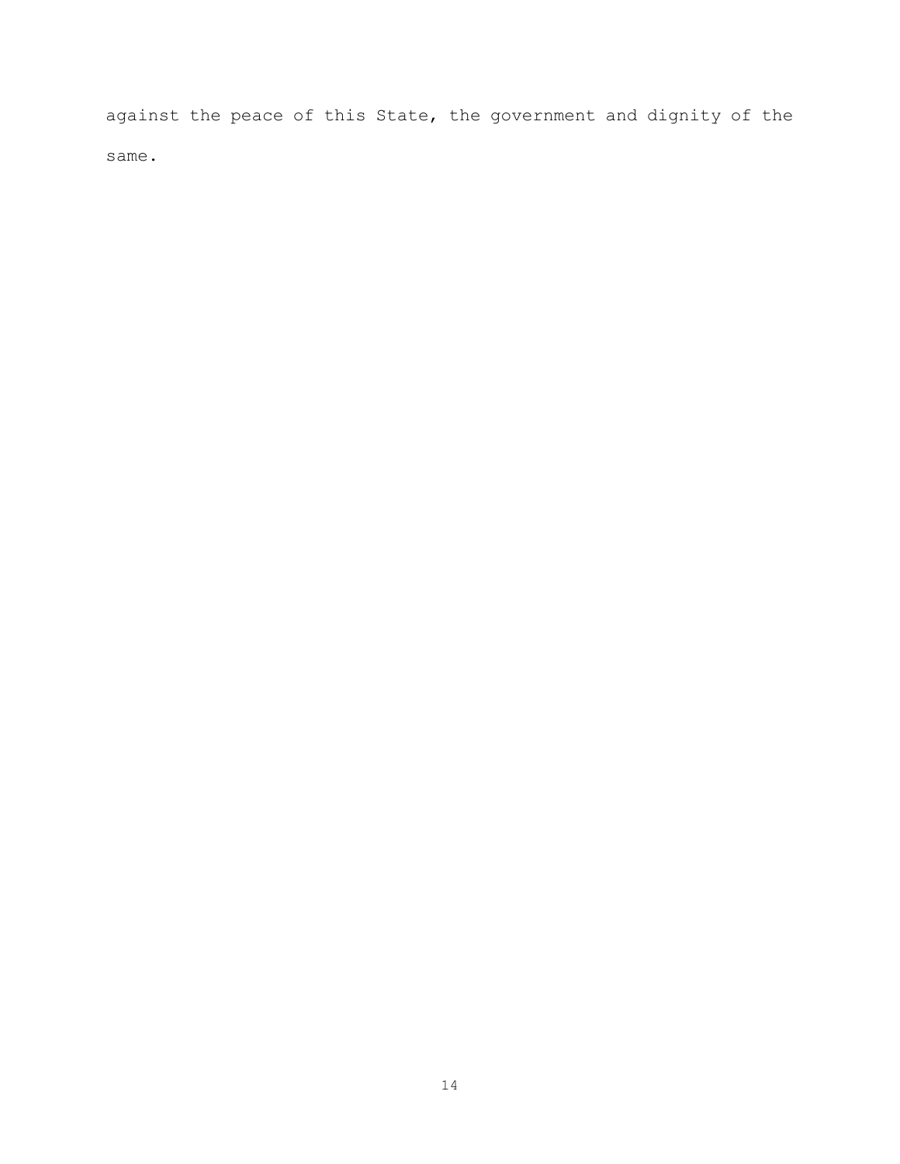against the peace of this State, the government and dignity of the same.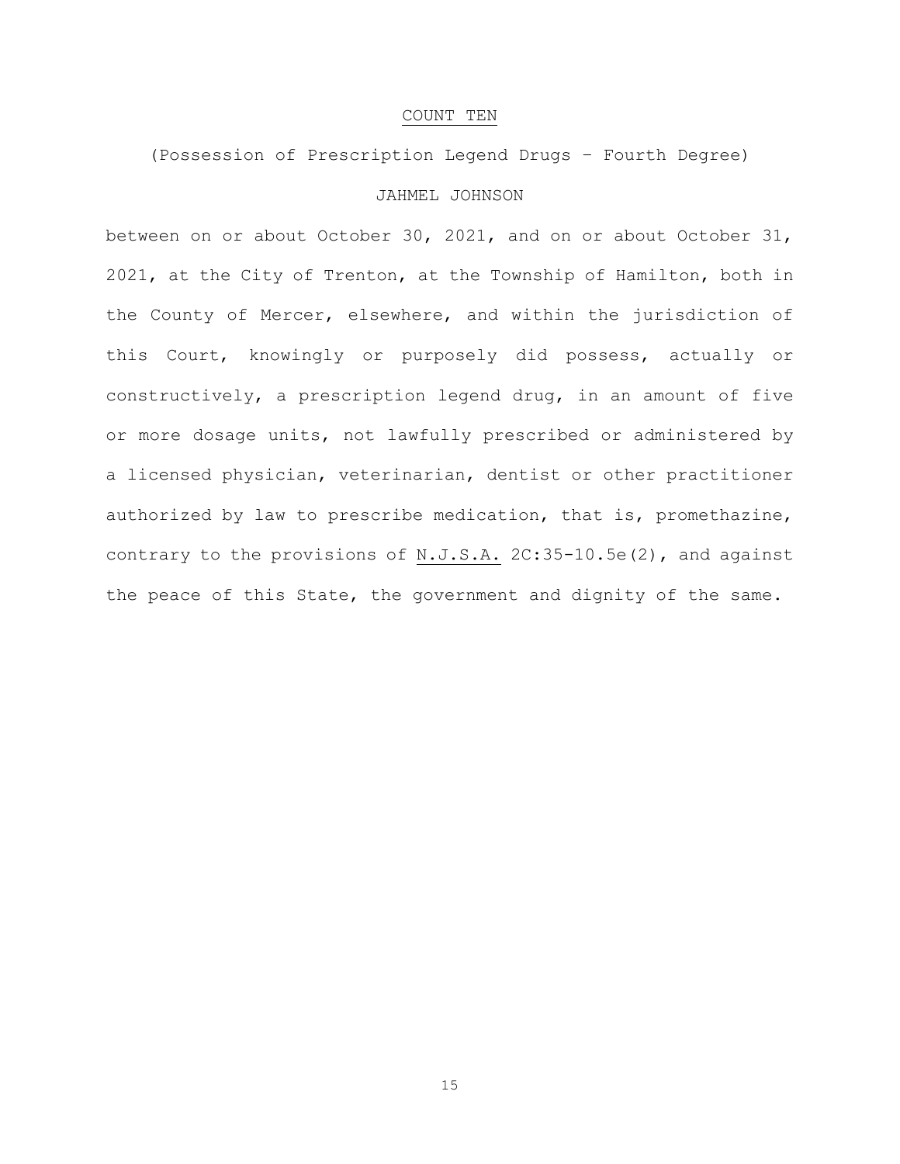### COUNT TEN

# (Possession of Prescription Legend Drugs – Fourth Degree) JAHMEL JOHNSON

between on or about October 30, 2021, and on or about October 31, 2021, at the City of Trenton, at the Township of Hamilton, both in the County of Mercer, elsewhere, and within the jurisdiction of this Court, knowingly or purposely did possess, actually or constructively, a prescription legend drug, in an amount of five or more dosage units, not lawfully prescribed or administered by a licensed physician, veterinarian, dentist or other practitioner authorized by law to prescribe medication, that is, promethazine, contrary to the provisions of N.J.S.A. 2C:35-10.5e(2), and against the peace of this State, the government and dignity of the same.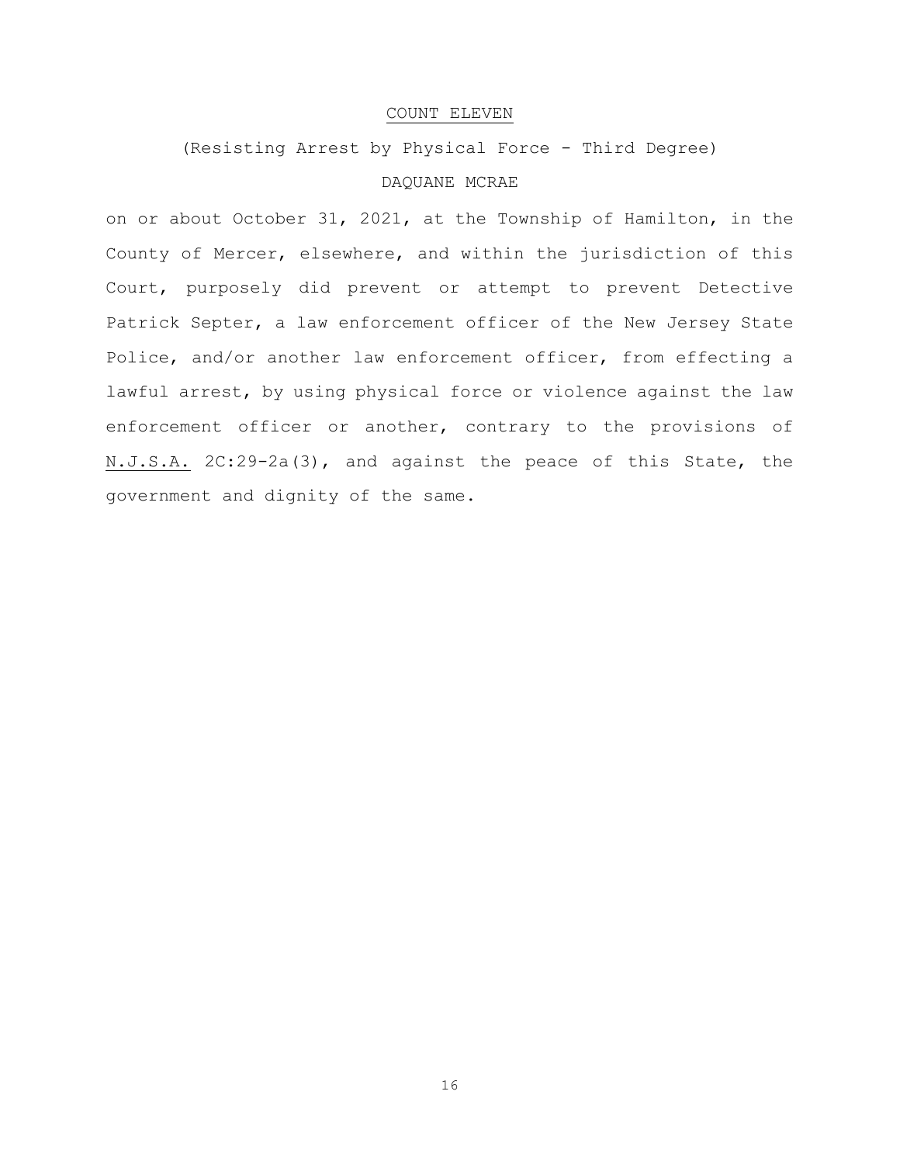# COUNT ELEVEN

(Resisting Arrest by Physical Force - Third Degree)

# DAQUANE MCRAE

on or about October 31, 2021, at the Township of Hamilton, in the County of Mercer, elsewhere, and within the jurisdiction of this Court, purposely did prevent or attempt to prevent Detective Patrick Septer, a law enforcement officer of the New Jersey State Police, and/or another law enforcement officer, from effecting a lawful arrest, by using physical force or violence against the law enforcement officer or another, contrary to the provisions of N.J.S.A. 2C:29-2a(3), and against the peace of this State, the government and dignity of the same.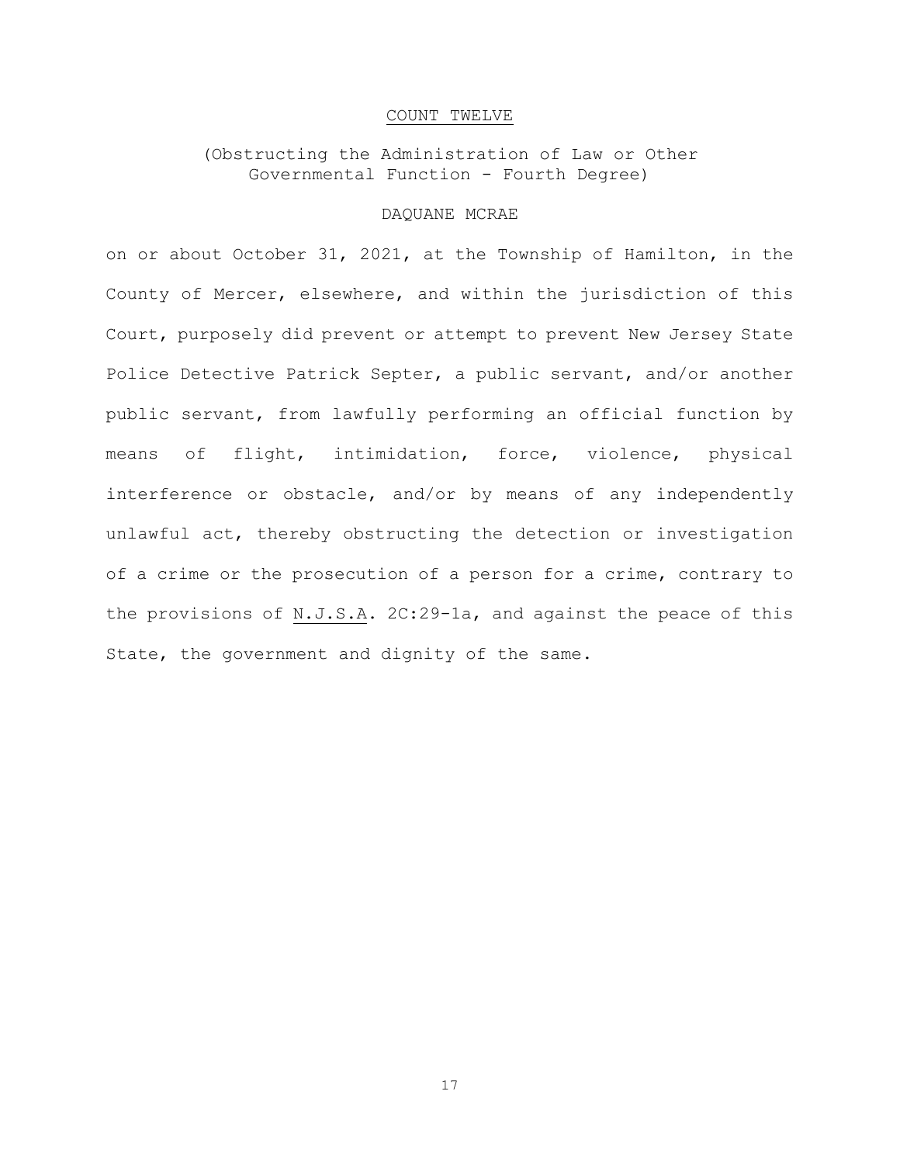### COUNT TWELVE

# (Obstructing the Administration of Law or Other Governmental Function - Fourth Degree)

### DAQUANE MCRAE

on or about October 31, 2021, at the Township of Hamilton, in the County of Mercer, elsewhere, and within the jurisdiction of this Court, purposely did prevent or attempt to prevent New Jersey State Police Detective Patrick Septer, a public servant, and/or another public servant, from lawfully performing an official function by means of flight, intimidation, force, violence, physical interference or obstacle, and/or by means of any independently unlawful act, thereby obstructing the detection or investigation of a crime or the prosecution of a person for a crime, contrary to the provisions of N.J.S.A. 2C:29-1a, and against the peace of this State, the government and dignity of the same.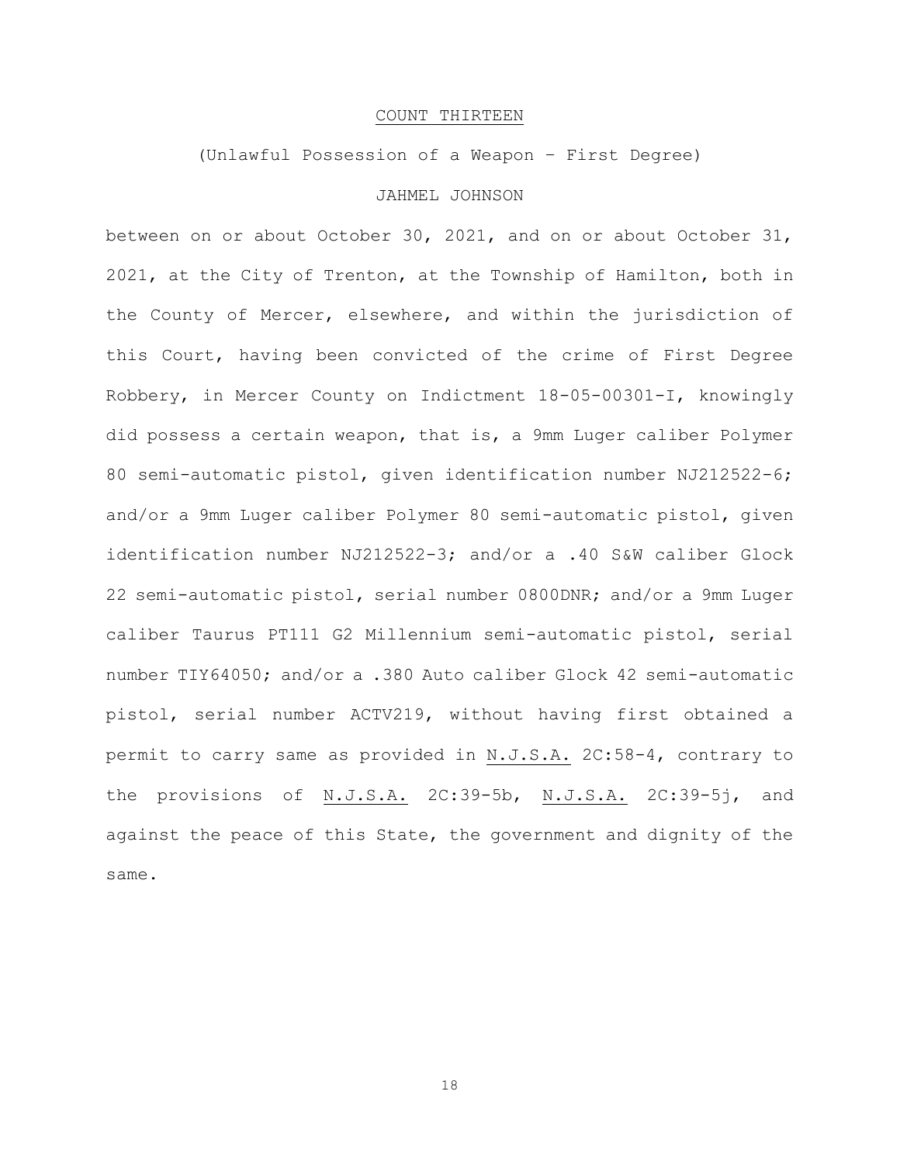# COUNT THIRTEEN

### (Unlawful Possession of a Weapon – First Degree)

# JAHMEL JOHNSON

between on or about October 30, 2021, and on or about October 31, 2021, at the City of Trenton, at the Township of Hamilton, both in the County of Mercer, elsewhere, and within the jurisdiction of this Court, having been convicted of the crime of First Degree Robbery, in Mercer County on Indictment 18-05-00301-I, knowingly did possess a certain weapon, that is, a 9mm Luger caliber Polymer 80 semi-automatic pistol, given identification number NJ212522-6; and/or a 9mm Luger caliber Polymer 80 semi-automatic pistol, given identification number NJ212522-3; and/or a .40 S&W caliber Glock 22 semi-automatic pistol, serial number 0800DNR; and/or a 9mm Luger caliber Taurus PT111 G2 Millennium semi-automatic pistol, serial number TIY64050; and/or a .380 Auto caliber Glock 42 semi-automatic pistol, serial number ACTV219, without having first obtained a permit to carry same as provided in N.J.S.A. 2C:58-4, contrary to the provisions of N.J.S.A. 2C:39-5b, N.J.S.A. 2C:39-5j, and against the peace of this State, the government and dignity of the same.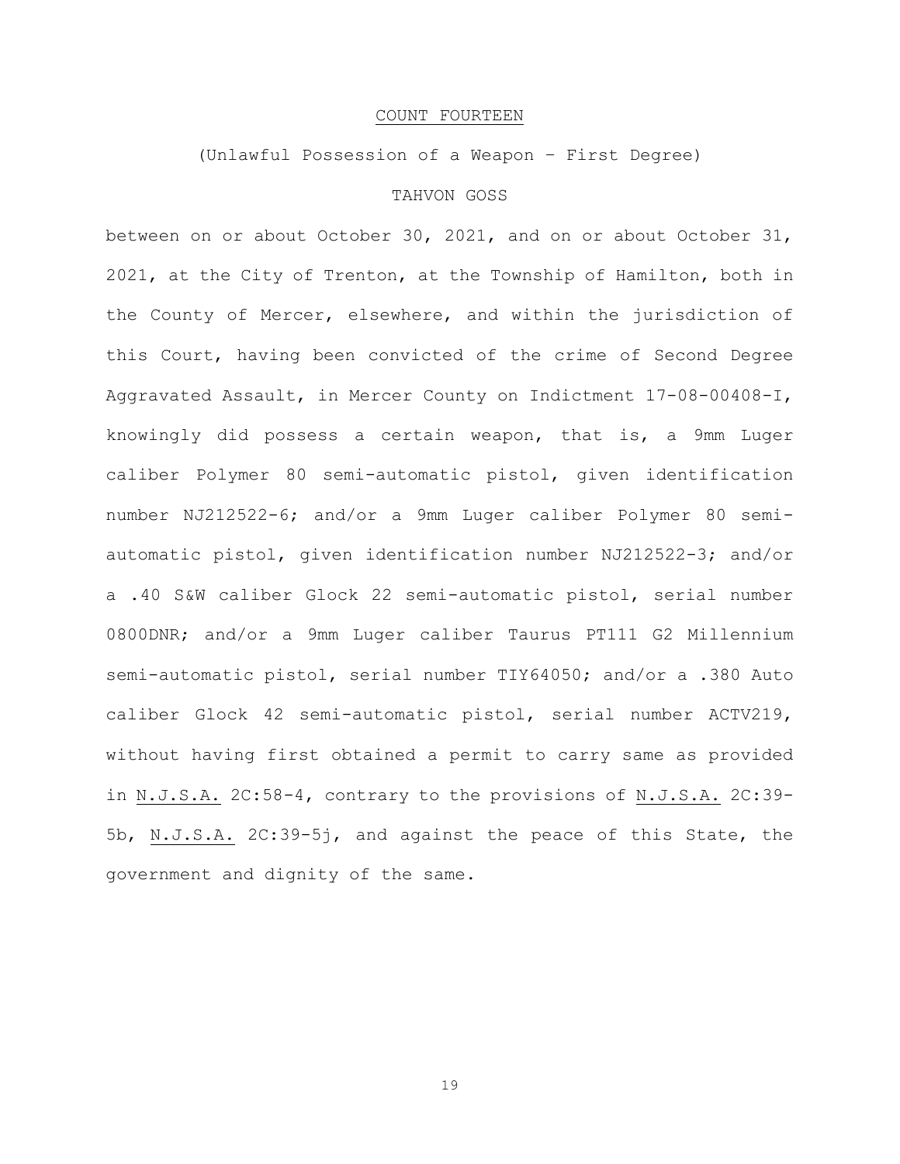# COUNT FOURTEEN

# (Unlawful Possession of a Weapon – First Degree)

# TAHVON GOSS

between on or about October 30, 2021, and on or about October 31, 2021, at the City of Trenton, at the Township of Hamilton, both in the County of Mercer, elsewhere, and within the jurisdiction of this Court, having been convicted of the crime of Second Degree Aggravated Assault, in Mercer County on Indictment 17-08-00408-I, knowingly did possess a certain weapon, that is, a 9mm Luger caliber Polymer 80 semi-automatic pistol, given identification number NJ212522-6; and/or a 9mm Luger caliber Polymer 80 semiautomatic pistol, given identification number NJ212522-3; and/or a .40 S&W caliber Glock 22 semi-automatic pistol, serial number 0800DNR; and/or a 9mm Luger caliber Taurus PT111 G2 Millennium semi-automatic pistol, serial number TIY64050; and/or a .380 Auto caliber Glock 42 semi-automatic pistol, serial number ACTV219, without having first obtained a permit to carry same as provided in N.J.S.A. 2C:58-4, contrary to the provisions of N.J.S.A. 2C:39- 5b, N.J.S.A. 2C:39-5j, and against the peace of this State, the government and dignity of the same.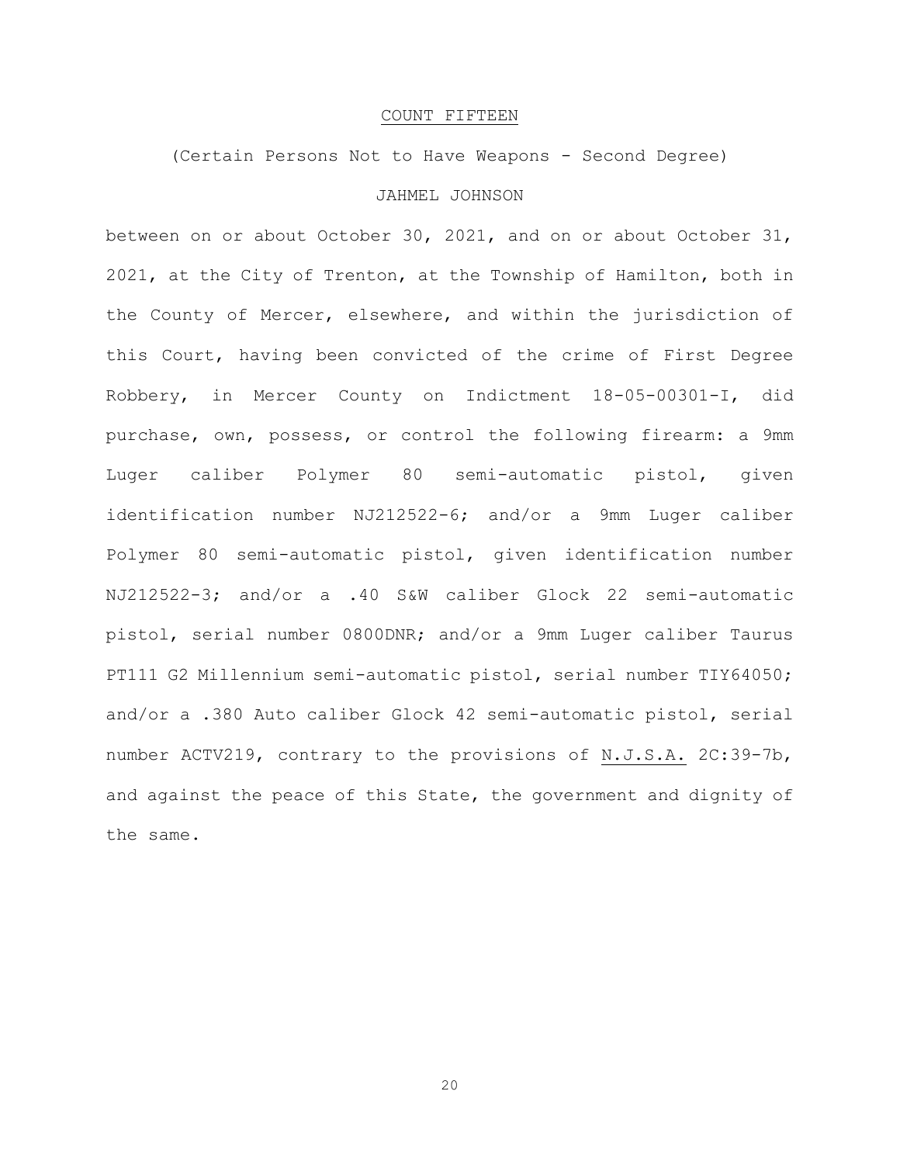### COUNT FIFTEEN

(Certain Persons Not to Have Weapons - Second Degree)

# JAHMEL JOHNSON

between on or about October 30, 2021, and on or about October 31, 2021, at the City of Trenton, at the Township of Hamilton, both in the County of Mercer, elsewhere, and within the jurisdiction of this Court, having been convicted of the crime of First Degree Robbery, in Mercer County on Indictment 18-05-00301-I, did purchase, own, possess, or control the following firearm: a 9mm Luger caliber Polymer 80 semi-automatic pistol, given identification number NJ212522-6; and/or a 9mm Luger caliber Polymer 80 semi-automatic pistol, given identification number NJ212522-3; and/or a .40 S&W caliber Glock 22 semi-automatic pistol, serial number 0800DNR; and/or a 9mm Luger caliber Taurus PT111 G2 Millennium semi-automatic pistol, serial number TIY64050; and/or a .380 Auto caliber Glock 42 semi-automatic pistol, serial number ACTV219, contrary to the provisions of N.J.S.A. 2C:39-7b, and against the peace of this State, the government and dignity of the same.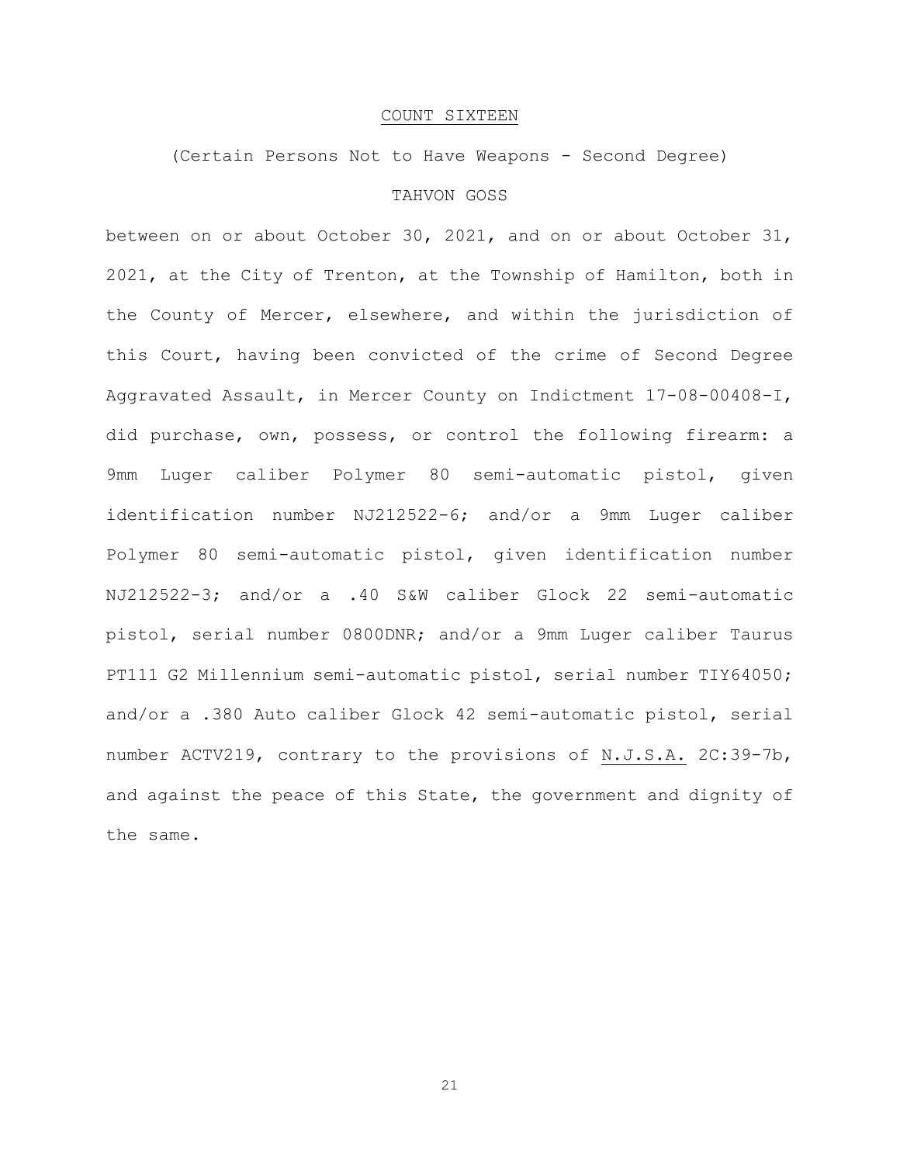### COUNT SIXTEEN

(Certain Persons Not to Have Weapons - Second Degree)

# TAHVON GOSS

between on or about October 30, 2021, and on or about October 31, 2021, at the City of Trenton, at the Township of Hamilton, both in the County of Mercer, elsewhere, and within the jurisdiction of this Court, having been convicted of the crime of Second Degree Aggravated Assault, in Mercer County on Indictment 17-08-00408-I, did purchase, own, possess, or control the following firearm: a 9mm Luger caliber Polymer 80 semi-automatic pistol, given identification number NJ212522-6; and/or a 9mm Luger caliber Polymer 80 semi-automatic pistol, given identification number NJ212522-3; and/or a .40 S&W caliber Glock 22 semi-automatic pistol, serial number 0800DNR; and/or a 9mm Luger caliber Taurus PT111 G2 Millennium semi-automatic pistol, serial number TIY64050; and/or a .380 Auto caliber Glock 42 semi-automatic pistol, serial number ACTV219, contrary to the provisions of N.J.S.A. 2C:39-7b, and against the peace of this State, the government and dignity of the same.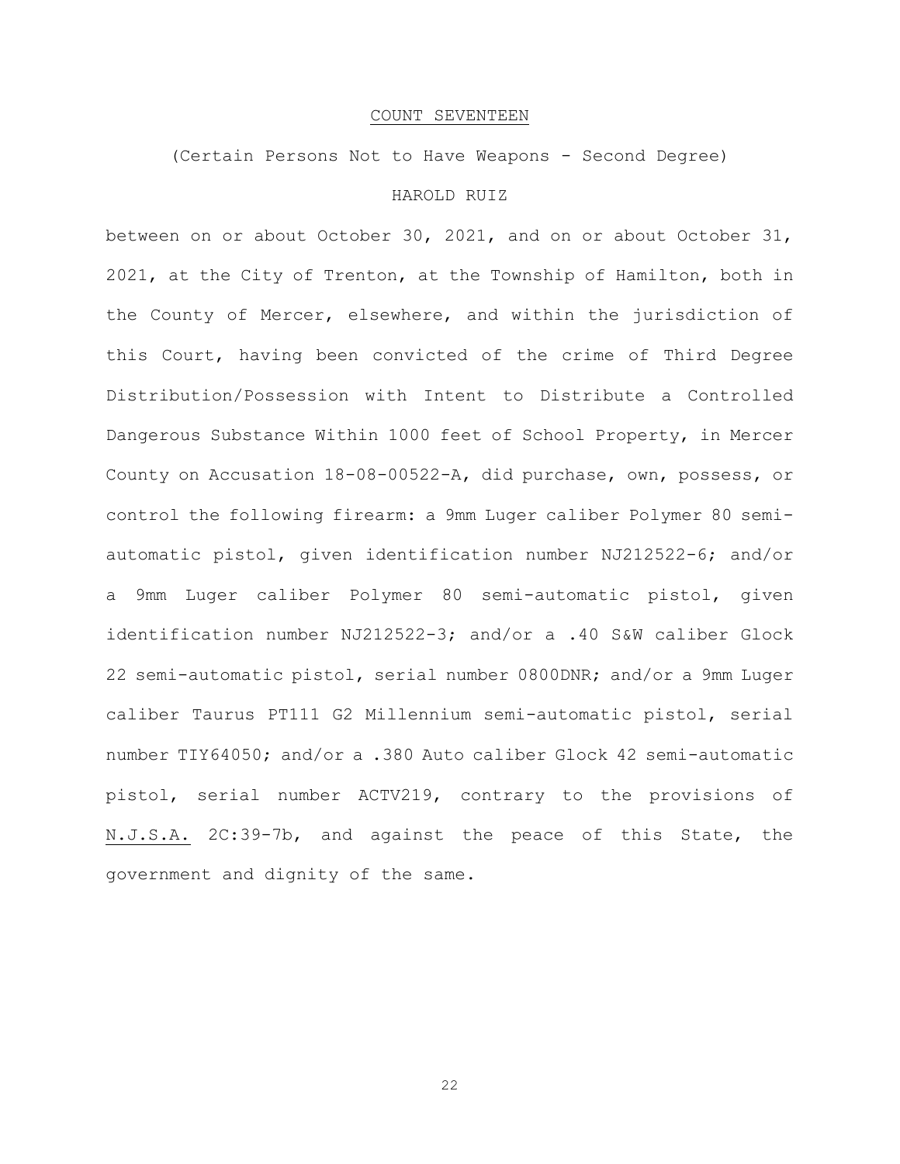### COUNT SEVENTEEN

(Certain Persons Not to Have Weapons - Second Degree)

# HAROLD RUIZ

between on or about October 30, 2021, and on or about October 31, 2021, at the City of Trenton, at the Township of Hamilton, both in the County of Mercer, elsewhere, and within the jurisdiction of this Court, having been convicted of the crime of Third Degree Distribution/Possession with Intent to Distribute a Controlled Dangerous Substance Within 1000 feet of School Property, in Mercer County on Accusation 18-08-00522-A, did purchase, own, possess, or control the following firearm: a 9mm Luger caliber Polymer 80 semiautomatic pistol, given identification number NJ212522-6; and/or a 9mm Luger caliber Polymer 80 semi-automatic pistol, given identification number NJ212522-3; and/or a .40 S&W caliber Glock 22 semi-automatic pistol, serial number 0800DNR; and/or a 9mm Luger caliber Taurus PT111 G2 Millennium semi-automatic pistol, serial number TIY64050; and/or a .380 Auto caliber Glock 42 semi-automatic pistol, serial number ACTV219, contrary to the provisions of N.J.S.A. 2C:39-7b, and against the peace of this State, the government and dignity of the same.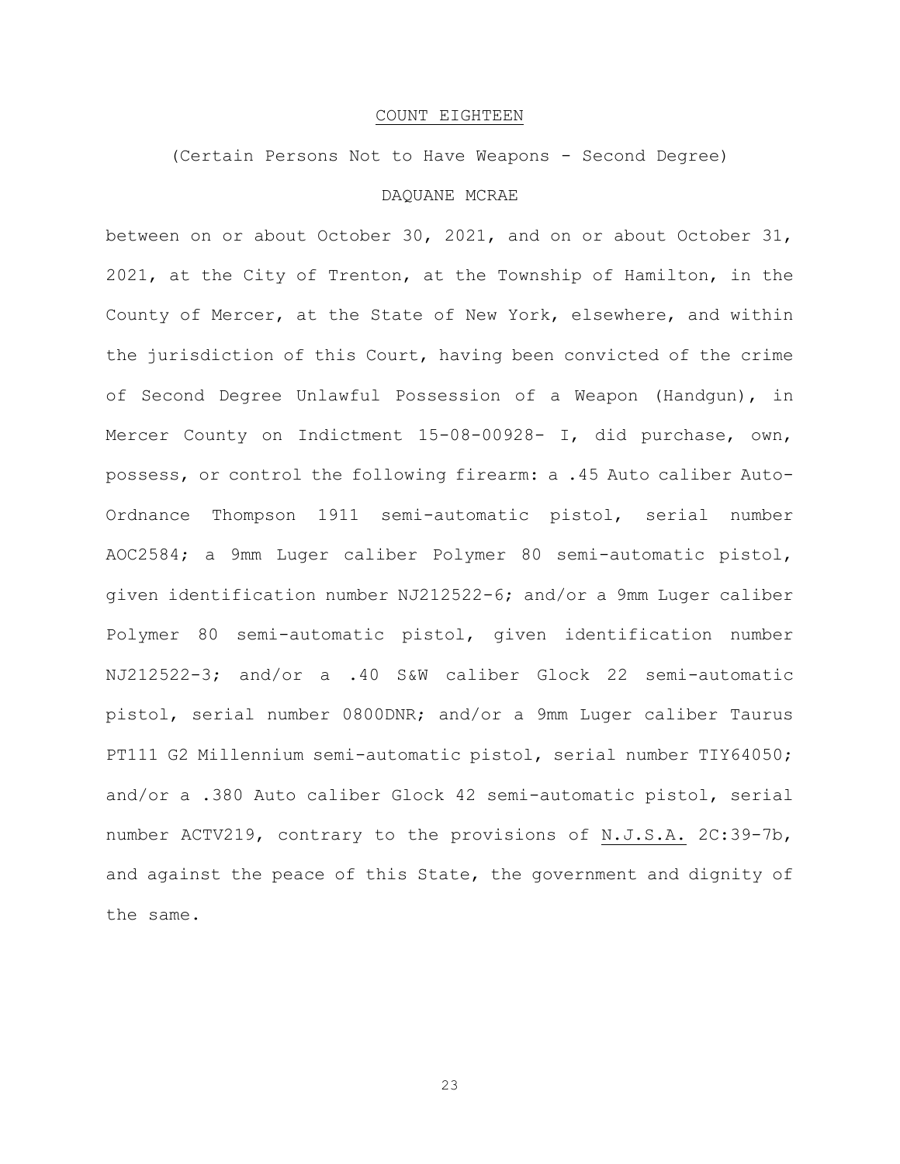### COUNT EIGHTEEN

(Certain Persons Not to Have Weapons - Second Degree)

# DAQUANE MCRAE

between on or about October 30, 2021, and on or about October 31, 2021, at the City of Trenton, at the Township of Hamilton, in the County of Mercer, at the State of New York, elsewhere, and within the jurisdiction of this Court, having been convicted of the crime of Second Degree Unlawful Possession of a Weapon (Handgun), in Mercer County on Indictment 15-08-00928- I, did purchase, own, possess, or control the following firearm: a .45 Auto caliber Auto-Ordnance Thompson 1911 semi-automatic pistol, serial number AOC2584; a 9mm Luger caliber Polymer 80 semi-automatic pistol, given identification number NJ212522-6; and/or a 9mm Luger caliber Polymer 80 semi-automatic pistol, given identification number NJ212522-3; and/or a .40 S&W caliber Glock 22 semi-automatic pistol, serial number 0800DNR; and/or a 9mm Luger caliber Taurus PT111 G2 Millennium semi-automatic pistol, serial number TIY64050; and/or a .380 Auto caliber Glock 42 semi-automatic pistol, serial number ACTV219, contrary to the provisions of N.J.S.A. 2C:39-7b, and against the peace of this State, the government and dignity of the same.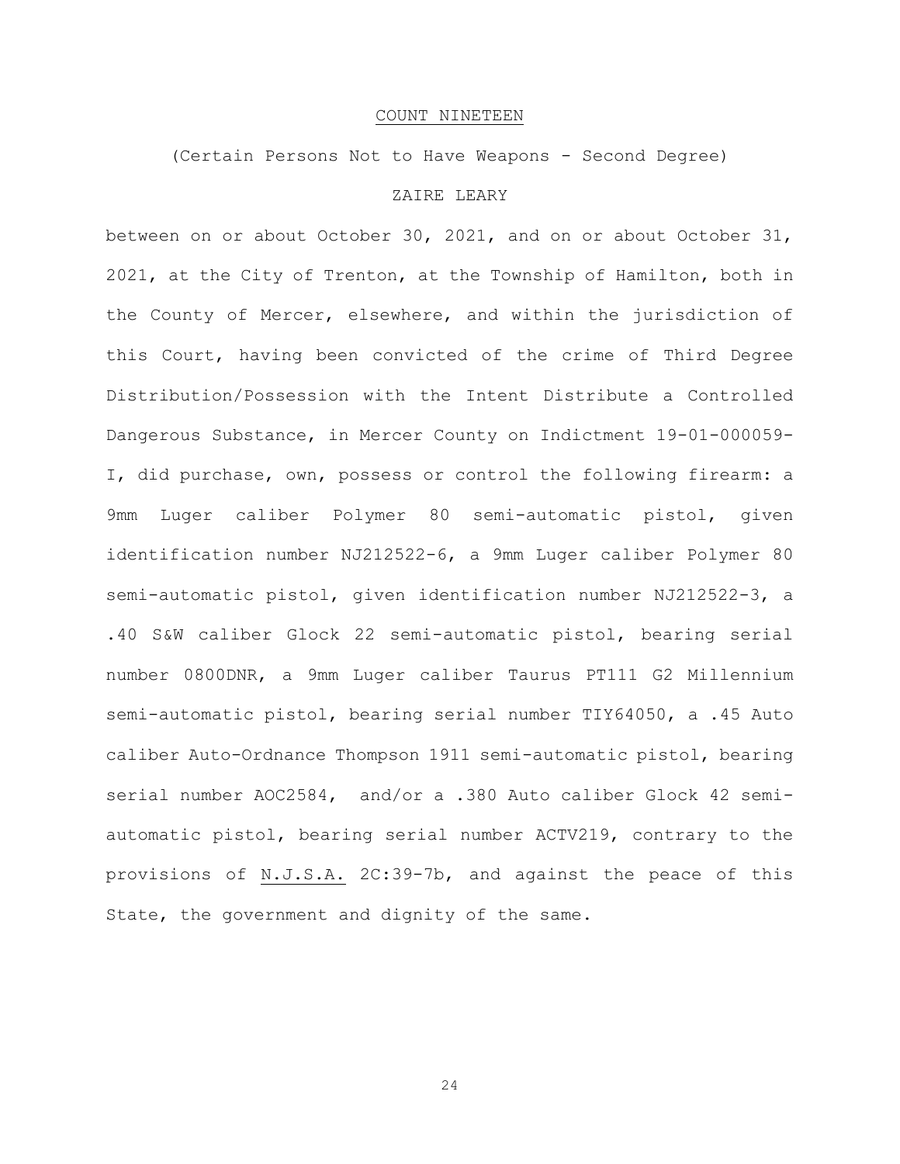### COUNT NINETEEN

(Certain Persons Not to Have Weapons - Second Degree)

# ZAIRE LEARY

between on or about October 30, 2021, and on or about October 31, 2021, at the City of Trenton, at the Township of Hamilton, both in the County of Mercer, elsewhere, and within the jurisdiction of this Court, having been convicted of the crime of Third Degree Distribution/Possession with the Intent Distribute a Controlled Dangerous Substance, in Mercer County on Indictment 19-01-000059- I, did purchase, own, possess or control the following firearm: a 9mm Luger caliber Polymer 80 semi-automatic pistol, given identification number NJ212522-6, a 9mm Luger caliber Polymer 80 semi-automatic pistol, given identification number NJ212522-3, a .40 S&W caliber Glock 22 semi-automatic pistol, bearing serial number 0800DNR, a 9mm Luger caliber Taurus PT111 G2 Millennium semi-automatic pistol, bearing serial number TIY64050, a .45 Auto caliber Auto-Ordnance Thompson 1911 semi-automatic pistol, bearing serial number AOC2584, and/or a .380 Auto caliber Glock 42 semiautomatic pistol, bearing serial number ACTV219, contrary to the provisions of N.J.S.A. 2C:39-7b, and against the peace of this State, the government and dignity of the same.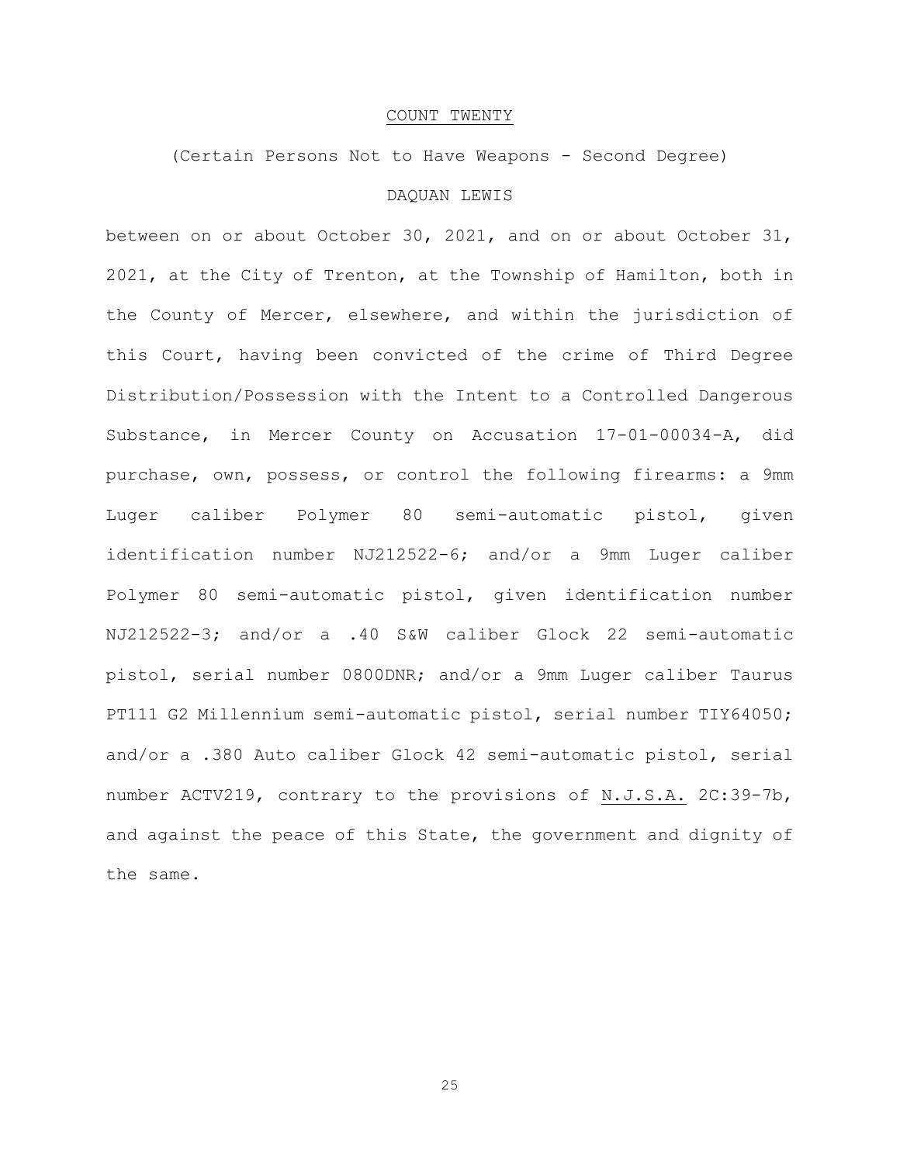### COUNT TWENTY

(Certain Persons Not to Have Weapons - Second Degree)

# DAQUAN LEWIS

between on or about October 30, 2021, and on or about October 31, 2021, at the City of Trenton, at the Township of Hamilton, both in the County of Mercer, elsewhere, and within the jurisdiction of this Court, having been convicted of the crime of Third Degree Distribution/Possession with the Intent to a Controlled Dangerous Substance, in Mercer County on Accusation 17-01-00034-A, did purchase, own, possess, or control the following firearms: a 9mm Luger caliber Polymer 80 semi-automatic pistol, given identification number NJ212522-6; and/or a 9mm Luger caliber Polymer 80 semi-automatic pistol, given identification number NJ212522-3; and/or a .40 S&W caliber Glock 22 semi-automatic pistol, serial number 0800DNR; and/or a 9mm Luger caliber Taurus PT111 G2 Millennium semi-automatic pistol, serial number TIY64050; and/or a .380 Auto caliber Glock 42 semi-automatic pistol, serial number ACTV219, contrary to the provisions of N.J.S.A. 2C:39-7b, and against the peace of this State, the government and dignity of the same.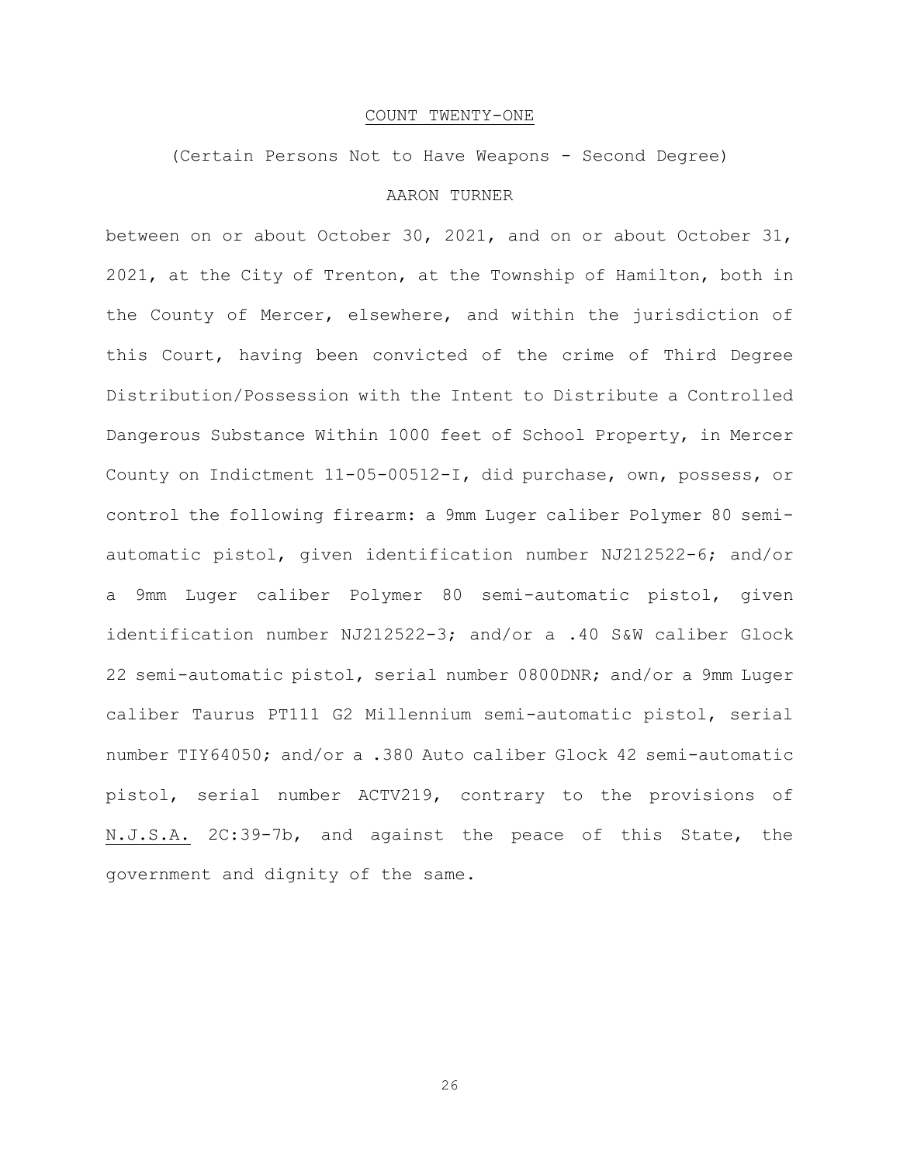# COUNT TWENTY-ONE

(Certain Persons Not to Have Weapons - Second Degree)

# AARON TURNER

between on or about October 30, 2021, and on or about October 31, 2021, at the City of Trenton, at the Township of Hamilton, both in the County of Mercer, elsewhere, and within the jurisdiction of this Court, having been convicted of the crime of Third Degree Distribution/Possession with the Intent to Distribute a Controlled Dangerous Substance Within 1000 feet of School Property, in Mercer County on Indictment 11-05-00512-I, did purchase, own, possess, or control the following firearm: a 9mm Luger caliber Polymer 80 semiautomatic pistol, given identification number NJ212522-6; and/or a 9mm Luger caliber Polymer 80 semi-automatic pistol, given identification number NJ212522-3; and/or a .40 S&W caliber Glock 22 semi-automatic pistol, serial number 0800DNR; and/or a 9mm Luger caliber Taurus PT111 G2 Millennium semi-automatic pistol, serial number TIY64050; and/or a .380 Auto caliber Glock 42 semi-automatic pistol, serial number ACTV219, contrary to the provisions of N.J.S.A. 2C:39-7b, and against the peace of this State, the government and dignity of the same.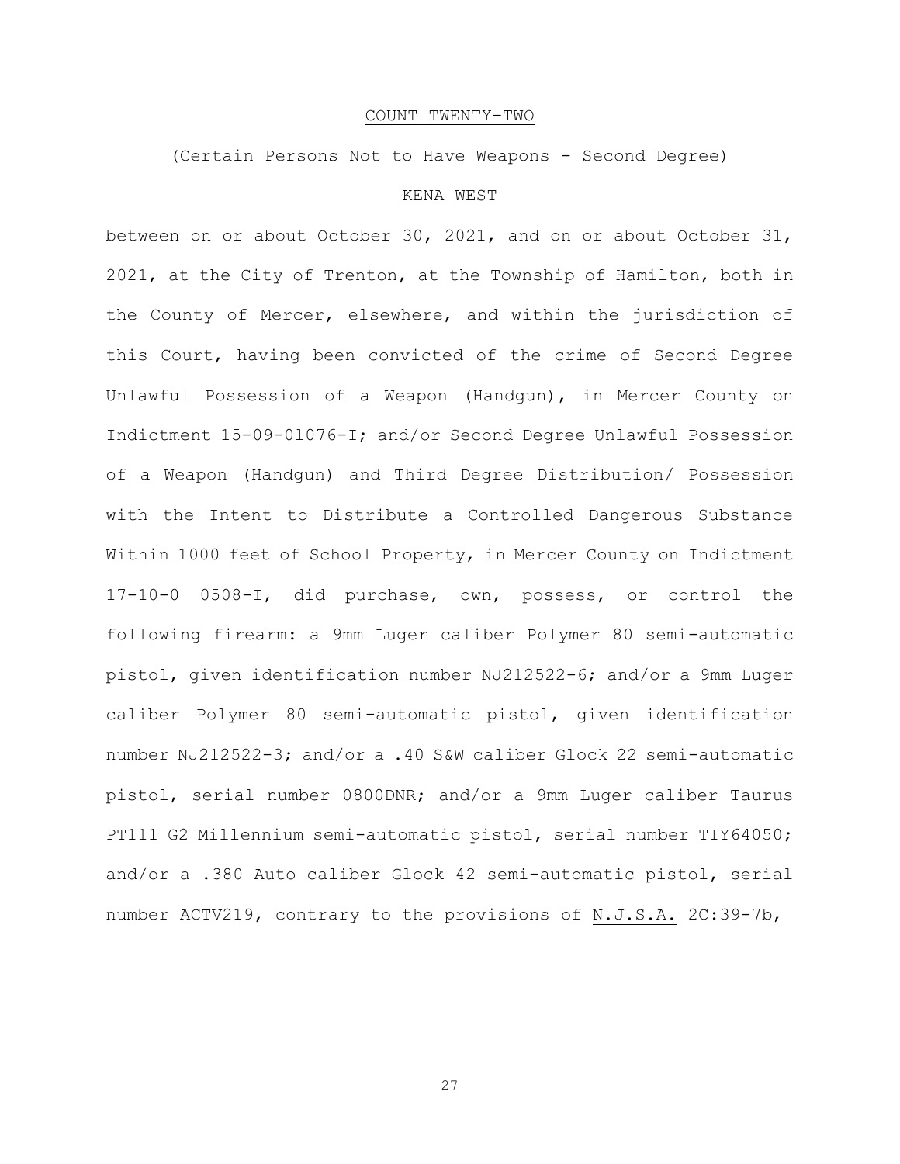# COUNT TWENTY-TWO

(Certain Persons Not to Have Weapons - Second Degree)

# KENA WEST

between on or about October 30, 2021, and on or about October 31, 2021, at the City of Trenton, at the Township of Hamilton, both in the County of Mercer, elsewhere, and within the jurisdiction of this Court, having been convicted of the crime of Second Degree Unlawful Possession of a Weapon (Handgun), in Mercer County on Indictment 15-09-0l076-I; and/or Second Degree Unlawful Possession of a Weapon (Handgun) and Third Degree Distribution/ Possession with the Intent to Distribute a Controlled Dangerous Substance Within 1000 feet of School Property, in Mercer County on Indictment 17-10-0 0508-I, did purchase, own, possess, or control the following firearm: a 9mm Luger caliber Polymer 80 semi-automatic pistol, given identification number NJ212522-6; and/or a 9mm Luger caliber Polymer 80 semi-automatic pistol, given identification number NJ212522-3; and/or a .40 S&W caliber Glock 22 semi-automatic pistol, serial number 0800DNR; and/or a 9mm Luger caliber Taurus PT111 G2 Millennium semi-automatic pistol, serial number TIY64050; and/or a .380 Auto caliber Glock 42 semi-automatic pistol, serial number ACTV219, contrary to the provisions of N.J.S.A. 2C:39-7b,